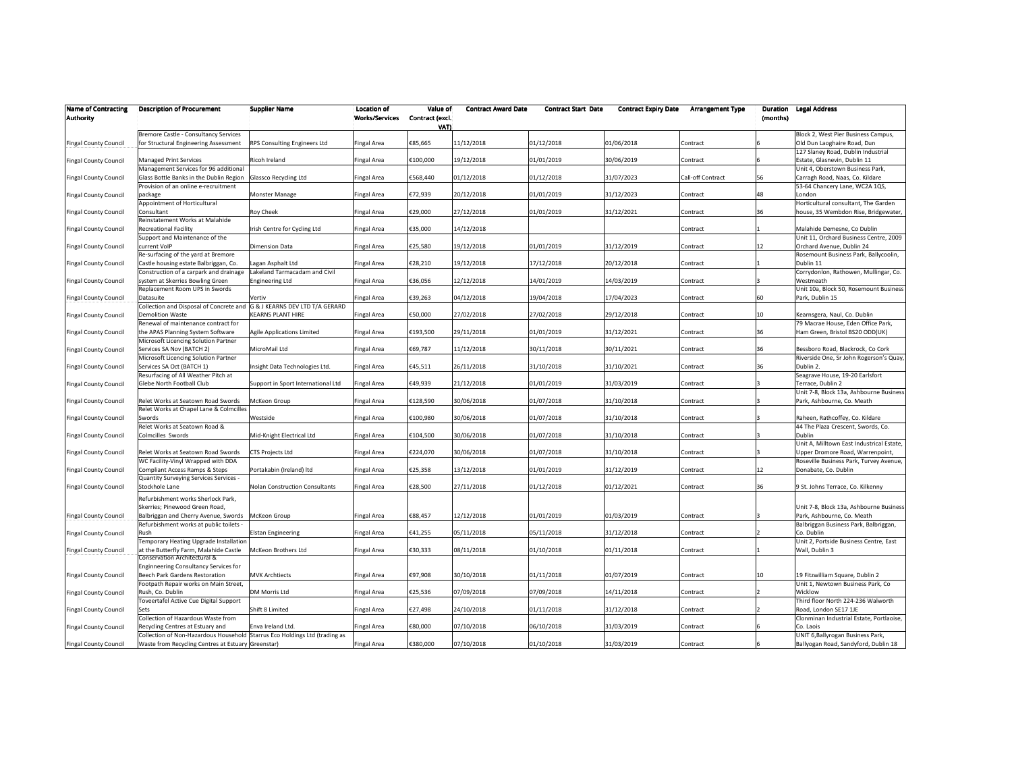| <b>Name of Contracting</b><br><b>Authority</b> | <b>Description of Procurement</b>                                          | <b>Supplier Name</b>                  | <b>Location of</b><br><b>Works/Services</b> | Value of<br>Contract (excl.<br>VAT) | <b>Contract Award Date</b> | <b>Contract Start Date</b> | <b>Contract Expiry Date</b> | <b>Arrangement Type</b> | Duration<br>(months) | <b>Legal Address</b>                      |
|------------------------------------------------|----------------------------------------------------------------------------|---------------------------------------|---------------------------------------------|-------------------------------------|----------------------------|----------------------------|-----------------------------|-------------------------|----------------------|-------------------------------------------|
|                                                | Bremore Castle - Consultancy Services                                      |                                       |                                             |                                     |                            |                            |                             |                         |                      | Block 2, West Pier Business Campus,       |
| <b>Fingal County Council</b>                   | for Structural Engineering Assessment                                      | RPS Consulting Engineers Ltd          | Fingal Area                                 | €85,665                             | 11/12/2018                 | 01/12/2018                 | 01/06/2018                  | Contract                |                      | Old Dun Laoghaire Road, Dun               |
|                                                |                                                                            |                                       |                                             |                                     |                            |                            |                             |                         |                      | 127 Slaney Road, Dublin Industrial        |
| <b>Fingal County Council</b>                   | <b>Managed Print Services</b>                                              | Ricoh Ireland                         | <b>Fingal Area</b>                          | €100,000                            | 19/12/2018                 | 01/01/2019                 | 30/06/2019                  | Contract                |                      | Estate, Glasnevin, Dublin 11              |
|                                                | Management Services for 96 additional                                      |                                       |                                             |                                     |                            |                            |                             |                         |                      | Unit 4, Oberstown Business Park,          |
| <b>Fingal County Council</b>                   | Glass Bottle Banks in the Dublin Region                                    | <b>Glassco Recycling Ltd</b>          | Fingal Area                                 | €568,440                            | 01/12/2018                 | 01/12/2018                 | 31/07/2023                  | Call-off Contract       | 56                   | Carragh Road, Naas, Co. Kildare           |
|                                                | Provision of an online e-recruitment                                       |                                       |                                             |                                     |                            |                            |                             |                         |                      | 53-64 Chancery Lane, WC2A 1QS,            |
| <b>Fingal County Council</b>                   | package                                                                    | Monster Manage                        | <b>Fingal Area</b>                          | €72,939                             | 20/12/2018                 | 01/01/2019                 | 31/12/2023                  | Contract                | 48                   | London                                    |
|                                                | Appointment of Horticultural                                               |                                       |                                             |                                     |                            |                            |                             |                         |                      | Horticultural consultant, The Garden      |
| <b>Fingal County Council</b>                   | Consultant                                                                 | Roy Cheek                             | Fingal Area                                 | €29,000                             | 27/12/2018                 | 01/01/2019                 | 31/12/2021                  | Contract                | 36                   | house, 35 Wembdon Rise, Bridgewater,      |
|                                                | Reinstatement Works at Malahide                                            |                                       |                                             |                                     |                            |                            |                             |                         |                      |                                           |
| <b>Fingal County Council</b>                   | <b>Recreational Facility</b>                                               | rish Centre for Cycling Ltd           | Fingal Area                                 | €35,000                             | 14/12/2018                 |                            |                             | Contract                |                      | Malahide Demesne, Co Dublin               |
|                                                | Support and Maintenance of the                                             |                                       |                                             |                                     |                            |                            |                             |                         |                      | Unit 11, Orchard Business Centre, 2009    |
| <b>Fingal County Council</b>                   | current VoIP                                                               | <b>Dimension Data</b>                 | <b>Fingal Area</b>                          | €25,580                             | 19/12/2018                 | 01/01/2019                 | 31/12/2019                  | Contract                | 12                   | Orchard Avenue, Dublin 24                 |
|                                                | Re-surfacing of the yard at Bremore                                        |                                       |                                             |                                     |                            |                            |                             |                         |                      | Rosemount Business Park, Ballycoolin,     |
| <b>Fingal County Council</b>                   | Castle housing estate Balbriggan, Co.                                      | Lagan Asphalt Ltd                     | Fingal Area                                 | €28,210                             | 19/12/2018                 | 17/12/2018                 | 20/12/2018                  | Contract                |                      | Dublin 11                                 |
|                                                | Construction of a carpark and drainage                                     | Lakeland Tarmacadam and Civil         |                                             |                                     |                            |                            |                             |                         |                      | Corrydonlon, Rathowen, Mullingar, Co.     |
| <b>Fingal County Council</b>                   | system at Skerries Bowling Green                                           | <b>Engineering Ltd</b>                | Fingal Area                                 | €36,056                             | 12/12/2018                 | 14/01/2019                 | 14/03/2019                  | Contract                |                      | Westmeath                                 |
|                                                | Replacement Room UPS in Swords                                             |                                       |                                             |                                     |                            |                            |                             |                         |                      | Unit 10a, Block 50, Rosemount Business    |
| <b>Fingal County Council</b>                   | Datasuite                                                                  | /ertiv                                | Fingal Area                                 | €39,263                             | 04/12/2018                 | 19/04/2018                 | 17/04/2023                  | Contract                | 60                   | Park, Dublin 15                           |
|                                                | Collection and Disposal of Concrete and                                    | G & J KEARNS DEV LTD T/A GERARD       |                                             |                                     |                            |                            |                             |                         |                      |                                           |
| <b>Fingal County Council</b>                   | <b>Demolition Waste</b>                                                    | <b>KEARNS PLANT HIRE</b>              | Fingal Area                                 | €50,000                             | 27/02/2018                 | 27/02/2018                 | 29/12/2018                  | Contract                | 10 <sup>10</sup>     | Kearnsgera, Naul, Co. Dublin              |
|                                                | Renewal of maintenance contract for                                        |                                       |                                             |                                     |                            |                            |                             |                         |                      | 79 Macrae House, Eden Office Park,        |
| <b>Fingal County Council</b>                   | the APAS Planning System Software                                          | Agile Applications Limited            | Fingal Area                                 | €193,500                            | 29/11/2018                 | 01/01/2019                 | 31/12/2021                  | Contract                | 36                   | Ham Green, Bristol BS20 ODD(UK)           |
|                                                | Microsoft Licencing Solution Partner                                       |                                       |                                             |                                     |                            |                            |                             |                         |                      |                                           |
| <b>Fingal County Council</b>                   | Services SA Nov (BATCH 2)                                                  | MicroMail Ltd                         | Fingal Area                                 | €69,787                             | 11/12/2018                 | 30/11/2018                 | 30/11/2021                  | Contract                | 36                   | Bessboro Road, Blackrock, Co Cork         |
|                                                | Microsoft Licencing Solution Partner                                       |                                       |                                             |                                     |                            |                            |                             |                         |                      | Riverside One, Sr John Rogerson's Quay,   |
| <b>Fingal County Council</b>                   | Services SA Oct (BATCH 1)                                                  | Insight Data Technologies Ltd.        | Fingal Area                                 | €45,511                             | 26/11/2018                 | 31/10/2018                 | 31/10/2021                  | Contract                | 36                   | Dublin 2.                                 |
|                                                | Resurfacing of All Weather Pitch at                                        |                                       |                                             |                                     |                            |                            |                             |                         |                      | Seagrave House, 19-20 Earlsfort           |
| <b>Fingal County Council</b>                   | Glebe North Football Club                                                  | Support in Sport International Ltd    | Fingal Area                                 | €49,939                             | 21/12/2018                 | 01/01/2019                 | 31/03/2019                  | Contract                |                      | Terrace, Dublin 2                         |
|                                                |                                                                            |                                       |                                             |                                     |                            |                            |                             |                         |                      | Unit 7-8, Block 13a, Ashbourne Business   |
| <b>Fingal County Council</b>                   | Relet Works at Seatown Road Swords                                         | McKeon Group                          | Fingal Area                                 | €128,590                            | 30/06/2018                 | 01/07/2018                 | 31/10/2018                  | Contract                |                      | Park, Ashbourne, Co. Meath                |
|                                                | Relet Works at Chapel Lane & Colmcilles                                    |                                       |                                             |                                     |                            |                            |                             |                         |                      |                                           |
| <b>Fingal County Council</b>                   | Swords                                                                     | Westside                              | Fingal Area                                 | €100,980                            | 30/06/2018                 | 01/07/2018                 | 31/10/2018                  | Contract                |                      | Raheen, Rathcoffey, Co. Kildare           |
|                                                | Relet Works at Seatown Road &                                              |                                       |                                             |                                     |                            |                            |                             |                         |                      | 44 The Plaza Crescent, Swords, Co.        |
| <b>Fingal County Council</b>                   | Colmcilles Swords                                                          | Mid-Knight Electrical Ltd             | Fingal Area                                 | €104,500                            | 30/06/2018                 | 01/07/2018                 | 31/10/2018                  | Contract                |                      | Dublin                                    |
|                                                |                                                                            |                                       |                                             |                                     |                            |                            |                             |                         |                      | Unit A, Milltown East Industrical Estate, |
| <b>Fingal County Council</b>                   | Relet Works at Seatown Road Swords                                         | <b>CTS Projects Ltd</b>               | <b>Fingal Area</b>                          | €224,070                            | 30/06/2018                 | 01/07/2018                 | 31/10/2018                  | Contract                |                      | Upper Dromore Road, Warrenpoint,          |
|                                                | WC Facility-Vinyl Wrapped with DDA                                         |                                       |                                             |                                     |                            |                            |                             |                         |                      | Roseville Business Park, Turvey Avenue,   |
| <b>Fingal County Council</b>                   | Compliant Access Ramps & Steps                                             | Portakabin (Ireland) Itd              | Fingal Area                                 | €25,358                             | 13/12/2018                 | 01/01/2019                 | 31/12/2019                  | Contract                | 12                   | Donabate, Co. Dublin                      |
|                                                | Quantity Surveying Services Services -                                     |                                       |                                             |                                     |                            |                            |                             |                         |                      |                                           |
| <b>Fingal County Council</b>                   | Stockhole Lane                                                             | <b>Nolan Construction Consultants</b> | <b>Fingal Area</b>                          | €28,500                             | 27/11/2018                 | 01/12/2018                 | 01/12/2021                  | Contract                | 36                   | 9 St. Johns Terrace, Co. Kilkenny         |
|                                                | Refurbishment works Sherlock Park,                                         |                                       |                                             |                                     |                            |                            |                             |                         |                      |                                           |
|                                                | Skerries; Pinewood Green Road,                                             |                                       |                                             |                                     |                            |                            |                             |                         |                      | Unit 7-8, Block 13a, Ashbourne Business   |
| <b>Fingal County Council</b>                   | Balbriggan and Cherry Avenue, Swords                                       | McKeon Group                          | <b>Fingal Area</b>                          | €88,457                             | 12/12/2018                 | 01/01/2019                 | 01/03/2019                  | Contract                |                      | Park, Ashbourne, Co. Meath                |
|                                                | Refurbishment works at public toilets -                                    |                                       |                                             |                                     |                            |                            |                             |                         |                      | Balbriggan Business Park, Balbriggan,     |
| <b>Fingal County Council</b>                   | Rush                                                                       | <b>Elstan Engineering</b>             | Fingal Area                                 | €41,255                             | 05/11/2018                 | 05/11/2018                 | 31/12/2018                  | Contract                |                      | Co. Dublin                                |
|                                                | <b>Temporary Heating Upgrade Installation</b>                              |                                       |                                             |                                     |                            |                            |                             |                         |                      | Unit 2, Portside Business Centre, East    |
| <b>Fingal County Council</b>                   | at the Butterfly Farm, Malahide Castle                                     | McKeon Brothers Ltd                   | Fingal Area                                 | €30,333                             | 08/11/2018                 | 01/10/2018                 | 01/11/2018                  | Contract                |                      | Wall, Dublin 3                            |
|                                                | Conservation Architectural &                                               |                                       |                                             |                                     |                            |                            |                             |                         |                      |                                           |
|                                                | <b>Enginneering Consultancy Services for</b>                               |                                       |                                             |                                     |                            |                            |                             |                         |                      |                                           |
| <b>Fingal County Council</b>                   | Beech Park Gardens Restoration                                             | <b>MVK Archtiects</b>                 | <b>Fingal Area</b>                          | €97,908                             | 30/10/2018                 | 01/11/2018                 | 01/07/2019                  | Contract                | 10                   | 19 Fitzwilliam Square, Dublin 2           |
|                                                | ootpath Repair works on Main Street,                                       |                                       |                                             |                                     |                            |                            |                             |                         |                      | Unit 1, Newtown Business Park, Co         |
| <b>Fingal County Council</b>                   | Rush, Co. Dublin                                                           | DM Morris Ltd                         | Fingal Area                                 | €25,536                             | 07/09/2018                 | 07/09/2018                 | 14/11/2018                  | Contract                |                      | Wicklow                                   |
|                                                | Toveertafel Active Cue Digital Support                                     |                                       |                                             |                                     |                            |                            |                             |                         |                      | Third floor North 224-236 Walworth        |
| <b>Fingal County Council</b>                   | Sets                                                                       | Shift 8 Limited                       | Fingal Area                                 | €27,498                             | 24/10/2018                 | 01/11/2018                 | 31/12/2018                  | Contract                |                      | Road, London SE17 1JE                     |
|                                                | Collection of Hazardous Waste from                                         |                                       |                                             |                                     |                            |                            |                             |                         |                      | Clonminan Industrial Estate, Portlaoise,  |
| <b>Fingal County Council</b>                   | Recycling Centres at Estuary and                                           | Enva Ireland Ltd.                     | Fingal Area                                 | €80,000                             | 07/10/2018                 | 06/10/2018                 | 31/03/2019                  | Contract                |                      | Co. Laois                                 |
|                                                | Collection of Non-Hazardous Household Starrus Eco Holdings Ltd (trading as |                                       |                                             |                                     |                            |                            |                             |                         |                      | UNIT 6, Ballyrogan Business Park,         |
| <b>Fingal County Council</b>                   | Waste from Recycling Centres at Estuary Greenstar)                         |                                       | <b>Fingal Area</b>                          | €380,000                            | 07/10/2018                 | 01/10/2018                 | 31/03/2019                  | Contract                |                      | Ballyogan Road, Sandyford, Dublin 18      |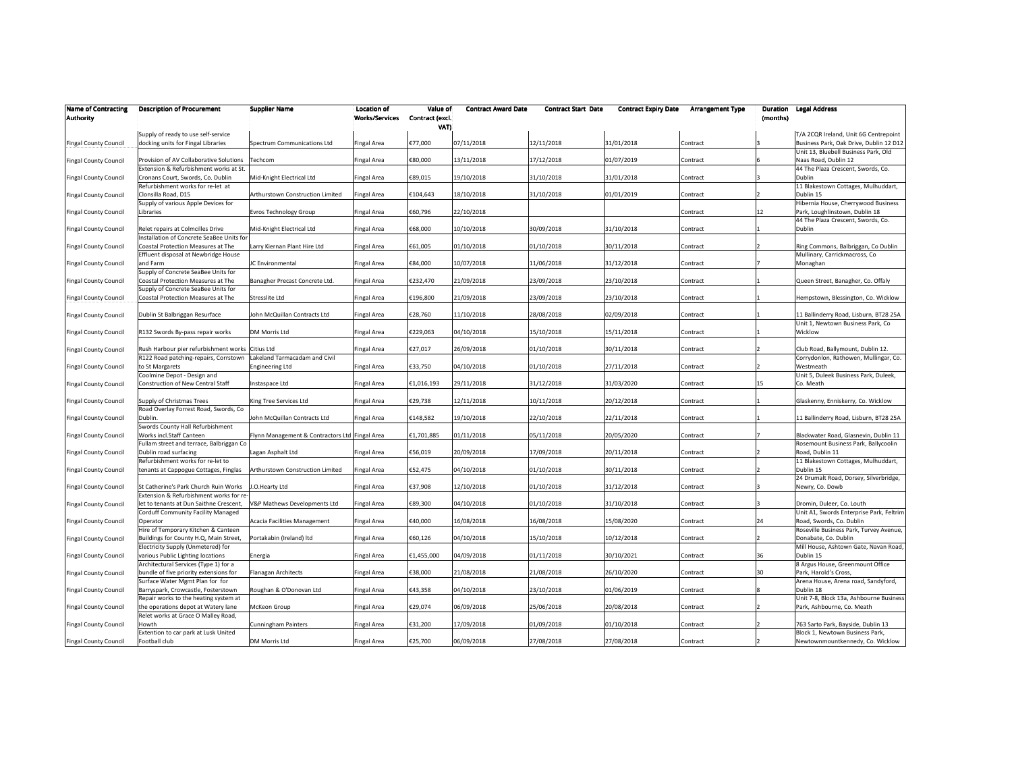| <b>Name of Contracting</b><br><b>Authority</b> | <b>Description of Procurement</b>         | <b>Supplier Name</b>                           | <b>Location of</b><br>Works/Services | Value of<br>Contract (excl.<br>VAT) | <b>Contract Award Date</b> | <b>Contract Start Date</b> | <b>Contract Expiry Date</b> | <b>Arrangement Type</b> | Duration<br>(months) | <b>Legal Address</b>                               |
|------------------------------------------------|-------------------------------------------|------------------------------------------------|--------------------------------------|-------------------------------------|----------------------------|----------------------------|-----------------------------|-------------------------|----------------------|----------------------------------------------------|
|                                                | Supply of ready to use self-service       |                                                |                                      |                                     |                            |                            |                             |                         |                      | T/A 2CQR Ireland, Unit 6G Centrepoint              |
| <b>Fingal County Council</b>                   | docking units for Fingal Libraries        | Spectrum Communications Ltd                    | <b>Fingal Area</b>                   | €77,000                             | 07/11/2018                 | 12/11/2018                 | 31/01/2018                  | Contract                |                      | Business Park, Oak Drive, Dublin 12 D12            |
|                                                |                                           |                                                |                                      |                                     |                            |                            |                             |                         |                      | Unit 13, Bluebell Business Park, Old               |
| <b>Fingal County Council</b>                   | Provision of AV Collaborative Solutions   | Techcom                                        | Fingal Area                          | €80,000                             | 13/11/2018                 | 17/12/2018                 | 01/07/2019                  | Contract                |                      | Naas Road, Dublin 12                               |
|                                                | Extension & Refurbishment works at St.    |                                                |                                      |                                     |                            |                            |                             |                         |                      | 44 The Plaza Crescent, Swords, Co.                 |
| <b>Fingal County Council</b>                   | Cronans Court, Swords, Co. Dublin         | Mid-Knight Electrical Ltd                      | Fingal Area                          | €89,015                             | 19/10/2018                 | 31/10/2018                 | 31/01/2018                  | Contract                |                      | Dublin                                             |
|                                                | Refurbishment works for re-let at         |                                                |                                      |                                     |                            |                            |                             |                         |                      | 11 Blakestown Cottages, Mulhuddart,                |
| <b>Fingal County Council</b>                   | Clonsilla Road, D15                       | Arthurstown Construction Limited               | Fingal Area                          | €104,643                            | 18/10/2018                 | 31/10/2018                 | 01/01/2019                  | Contract                |                      | Dublin 15                                          |
|                                                | Supply of various Apple Devices for       |                                                |                                      |                                     |                            |                            |                             |                         |                      | Hibernia House, Cherrywood Business                |
| <b>Fingal County Council</b>                   | Libraries                                 | Evros Technology Group                         | Fingal Area                          | €60,796                             | 22/10/2018                 |                            |                             | Contract                | 12                   | Park, Loughlinstown, Dublin 18                     |
|                                                |                                           |                                                |                                      |                                     |                            |                            |                             |                         |                      | 44 The Plaza Crescent, Swords, Co.                 |
| <b>Fingal County Council</b>                   | Relet repairs at Colmcilles Drive         | Mid-Knight Electrical Ltd                      | Fingal Area                          | €68,000                             | 10/10/2018                 | 30/09/2018                 | 31/10/2018                  | Contract                |                      | Dublin                                             |
|                                                | Installation of Concrete SeaBee Units for |                                                |                                      |                                     |                            |                            |                             |                         |                      |                                                    |
| <b>Fingal County Council</b>                   | Coastal Protection Measures at The        | Larry Kiernan Plant Hire Ltd                   | Fingal Area                          | €61,005                             | 01/10/2018                 | 01/10/2018                 | 30/11/2018                  | Contract                |                      | Ring Commons, Balbriggan, Co Dublin                |
|                                                | Effluent disposal at Newbridge House      |                                                |                                      |                                     |                            |                            |                             |                         |                      | Mullinary, Carrickmacross, Co                      |
| <b>Fingal County Council</b>                   | and Farm                                  | <b>IC Environmental</b>                        | <b>Fingal Area</b>                   | €84,000                             | 10/07/2018                 | 11/06/2018                 | 31/12/2018                  | Contract                |                      | Monaghan                                           |
|                                                | Supply of Concrete SeaBee Units for       |                                                |                                      |                                     |                            |                            |                             |                         |                      |                                                    |
| <b>Fingal County Council</b>                   | Coastal Protection Measures at The        | Banagher Precast Concrete Ltd.                 | Fingal Area                          | €232,470                            | 21/09/2018                 | 23/09/2018                 | 23/10/2018                  | Contract                |                      | Queen Street, Banagher, Co. Offaly                 |
|                                                | Supply of Concrete SeaBee Units for       |                                                |                                      |                                     |                            |                            |                             |                         |                      |                                                    |
| <b>Fingal County Council</b>                   | Coastal Protection Measures at The        | Stresslite Ltd                                 | Fingal Area                          | €196,800                            | 21/09/2018                 | 23/09/2018                 | 23/10/2018                  | Contract                |                      | Hempstown, Blessington, Co. Wicklow                |
|                                                |                                           |                                                |                                      |                                     |                            |                            |                             |                         |                      |                                                    |
| <b>Fingal County Council</b>                   | Dublin St Balbriggan Resurface            | Iohn McQuillan Contracts Ltd                   | Fingal Area                          | €28,760                             | 11/10/2018                 | 28/08/2018                 | 02/09/2018                  | Contract                |                      | 11 Ballinderry Road, Lisburn, BT28 25A             |
|                                                |                                           |                                                |                                      |                                     |                            |                            |                             |                         |                      | Unit 1, Newtown Business Park, Co                  |
| <b>Fingal County Council</b>                   | R132 Swords By-pass repair works          | DM Morris Ltd                                  | <b>Fingal Area</b>                   | €229,063                            | 04/10/2018                 | 15/10/2018                 | 15/11/2018                  | Contract                |                      | Wicklow                                            |
|                                                |                                           |                                                |                                      |                                     |                            |                            |                             |                         |                      |                                                    |
| <b>Fingal County Council</b>                   | Rush Harbour pier refurbishment works     | Citius Ltd                                     | Fingal Area                          | €27,017                             | 26/09/2018                 | 01/10/2018                 | 30/11/2018                  | Contract                |                      | Club Road, Ballymount, Dublin 12.                  |
|                                                | R122 Road patching-repairs, Corrstown     | Lakeland Tarmacadam and Civil                  |                                      |                                     |                            |                            |                             |                         |                      | Corrydonlon, Rathowen, Mullingar, Co.              |
| <b>Fingal County Council</b>                   | to St Margarets                           | <b>Engineering Ltd</b>                         | Fingal Area                          | €33,750                             | 04/10/2018                 | 01/10/2018                 | 27/11/2018                  | Contract                |                      | Westmeath                                          |
|                                                | Coolmine Depot - Design and               |                                                |                                      | €1,016,193                          | 29/11/2018                 | 31/12/2018                 | 31/03/2020                  |                         | 15                   | Unit 5, Duleek Business Park, Duleek,<br>Co. Meath |
| <b>Fingal County Council</b>                   | Construction of New Central Staff         | Instaspace Ltd                                 | Fingal Area                          |                                     |                            |                            |                             | Contract                |                      |                                                    |
| <b>Fingal County Council</b>                   | Supply of Christmas Trees                 | King Tree Services Ltd                         | Fingal Area                          | €29,738                             | 12/11/2018                 | 10/11/2018                 | 20/12/2018                  | Contract                |                      | Glaskenny, Enniskerry, Co. Wicklow                 |
|                                                | Road Overlay Forrest Road, Swords, Co     |                                                |                                      |                                     |                            |                            |                             |                         |                      |                                                    |
| <b>Fingal County Council</b>                   | Dublin.                                   | John McQuillan Contracts Ltd                   | Fingal Area                          | €148,582                            | 19/10/2018                 | 22/10/2018                 | 22/11/2018                  | Contract                |                      | 11 Ballinderry Road, Lisburn, BT28 25A             |
|                                                | Swords County Hall Refurbishment          |                                                |                                      |                                     |                            |                            |                             |                         |                      |                                                    |
| <b>Fingal County Council</b>                   | Works incl.Staff Canteen                  | Flynn Management & Contractors Ltd Fingal Area |                                      | €1,701,885                          | 01/11/2018                 | 05/11/2018                 | 20/05/2020                  | Contract                |                      | Blackwater Road, Glasnevin, Dublin 11              |
|                                                | Fullam street and terrace, Balbriggan Co  |                                                |                                      |                                     |                            |                            |                             |                         |                      | Rosemount Business Park, Ballycoolin               |
| <b>Fingal County Council</b>                   | Dublin road surfacing                     | Lagan Asphalt Ltd                              | Fingal Area                          | €56,019                             | 20/09/2018                 | 17/09/2018                 | 20/11/2018                  | Contract                |                      | Road, Dublin 11                                    |
|                                                | Refurbishment works for re-let to         |                                                |                                      |                                     |                            |                            |                             |                         |                      | 11 Blakestown Cottages, Mulhuddart,                |
| <b>Fingal County Council</b>                   | tenants at Cappogue Cottages, Finglas     | Arthurstown Construction Limited               | Fingal Area                          | €52,475                             | 04/10/2018                 | 01/10/2018                 | 30/11/2018                  | Contract                |                      | Dublin 15                                          |
|                                                |                                           |                                                |                                      |                                     |                            |                            |                             |                         |                      | 24 Drumalt Road, Dorsey, Silverbridge,             |
| <b>Fingal County Council</b>                   | St Catherine's Park Church Ruin Works     | .O.Hearty Ltd                                  | <b>Fingal Area</b>                   | €37,908                             | 12/10/2018                 | 01/10/2018                 | 31/12/2018                  | Contract                |                      | Newry, Co. Dowb                                    |
|                                                | Extension & Refurbishment works for re    |                                                |                                      |                                     |                            |                            |                             |                         |                      |                                                    |
| <b>Fingal County Council</b>                   | let to tenants at Dun Saithne Crescent,   | V&P Mathews Developments Ltd                   | Fingal Area                          | €89,300                             | 04/10/2018                 | 01/10/2018                 | 31/10/2018                  | Contract                |                      | Dromin, Duleer, Co. Louth                          |
|                                                | Corduff Community Facility Managed        |                                                |                                      |                                     |                            |                            |                             |                         |                      | Unit A1, Swords Enterprise Park, Feltrim           |
| <b>Fingal County Council</b>                   | Operator                                  | Acacia Facilities Management                   | Fingal Area                          | €40,000                             | 16/08/2018                 | 16/08/2018                 | 15/08/2020                  | Contract                | 24                   | Road, Swords, Co. Dublin                           |
|                                                | Hire of Temporary Kitchen & Canteen       |                                                |                                      |                                     |                            |                            |                             |                         |                      | Roseville Business Park, Turvey Avenue,            |
| <b>Fingal County Council</b>                   | Buildings for County H.Q, Main Street,    | Portakabin (Ireland) Itd                       | Fingal Area                          | €60,126                             | 04/10/2018                 | 15/10/2018                 | 10/12/2018                  | Contract                |                      | Donabate, Co. Dublin                               |
|                                                | Electricity Supply (Unmetered) for        |                                                |                                      |                                     |                            |                            |                             |                         |                      | Mill House, Ashtown Gate, Navan Road,              |
| <b>Fingal County Council</b>                   | various Public Lighting locations         | Energia                                        | Fingal Area                          | €1,455,000                          | 04/09/2018                 | 01/11/2018                 | 30/10/2021                  | Contract                | 36                   | Dublin 15                                          |
|                                                | Architectural Services (Type 1) for a     |                                                |                                      |                                     |                            |                            |                             |                         |                      | 8 Argus House, Greenmount Office                   |
| <b>Fingal County Council</b>                   | bundle of five priority extensions for    | <b>Flanagan Architects</b>                     | Fingal Area                          | €38.000                             | 21/08/2018                 | 21/08/2018                 | 26/10/2020                  | Contract                | 30                   | Park, Harold's Cross,                              |
|                                                | Surface Water Mgmt Plan for for           |                                                |                                      |                                     |                            |                            |                             |                         |                      | Arena House, Arena road, Sandyford,                |
| <b>Fingal County Council</b>                   | Barryspark, Crowcastle, Fosterstown       | Roughan & O'Donovan Ltd                        | <b>Fingal Area</b>                   | €43,358                             | 04/10/2018                 | 23/10/2018                 | 01/06/2019                  | Contract                |                      | Dublin 18                                          |
|                                                | Repair works to the heating system at     |                                                |                                      |                                     |                            |                            |                             |                         |                      | Unit 7-8, Block 13a, Ashbourne Business            |
| <b>Fingal County Council</b>                   | the operations depot at Watery lane       | McKeon Group                                   | Fingal Area                          | €29,074                             | 06/09/2018                 | 25/06/2018                 | 20/08/2018                  | Contract                |                      | Park, Ashbourne, Co. Meath                         |
|                                                | Relet works at Grace O Malley Road,       |                                                |                                      |                                     |                            |                            |                             |                         |                      |                                                    |
| <b>Fingal County Council</b>                   | Howth                                     | Cunningham Painters                            | Fingal Area                          | €31,200                             | 17/09/2018                 | 01/09/2018                 | 01/10/2018                  | Contract                |                      | 763 Sarto Park, Bayside, Dublin 13                 |
|                                                | Extention to car park at Lusk United      |                                                |                                      |                                     |                            |                            |                             |                         |                      | Block 1, Newtown Business Park,                    |
| <b>Fingal County Council</b>                   | Football club                             | DM Morris Ltd                                  | Fingal Area                          | €25,700                             | 06/09/2018                 | 27/08/2018                 | 27/08/2018                  | Contract                |                      | Newtownmountkennedy, Co. Wicklow                   |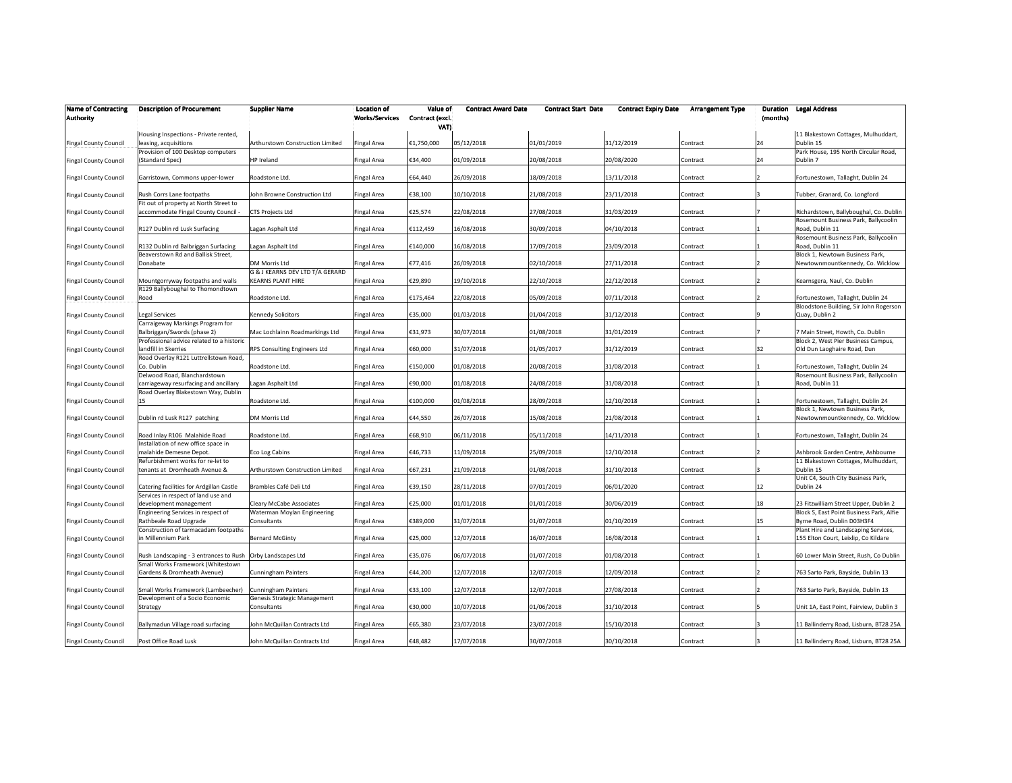| <b>Name of Contracting</b><br><b>Authority</b> | <b>Description of Procurement</b>                                               | <b>Supplier Name</b>                                       | <b>Location of</b><br><b>Works/Services</b> | Value of<br>Contract (excl.<br>VATI | <b>Contract Award Date</b> | <b>Contract Start Date</b> | <b>Contract Expiry Date</b> | <b>Arrangement Type</b> | Duration<br>(months) | <b>Legal Address</b>                                                              |
|------------------------------------------------|---------------------------------------------------------------------------------|------------------------------------------------------------|---------------------------------------------|-------------------------------------|----------------------------|----------------------------|-----------------------------|-------------------------|----------------------|-----------------------------------------------------------------------------------|
|                                                | Housing Inspections - Private rented,                                           |                                                            |                                             |                                     |                            |                            |                             |                         |                      | 11 Blakestown Cottages, Mulhuddart,                                               |
| <b>Fingal County Council</b>                   | leasing, acquisitions                                                           | Arthurstown Construction Limited                           | <b>Fingal Area</b>                          | €1,750,000                          | 05/12/2018                 | 01/01/2019                 | 31/12/2019                  | Contract                | 24                   | Dublin 15                                                                         |
| <b>Fingal County Council</b>                   | Provision of 100 Desktop computers<br>(Standard Spec)                           | HP Ireland                                                 | Fingal Area                                 | €34,400                             | 01/09/2018                 | 20/08/2018                 | 20/08/2020                  | Contract                | 24                   | Park House, 195 North Circular Road,<br>Dublin 7                                  |
| <b>Fingal County Council</b>                   | Garristown, Commons upper-lower                                                 | Roadstone Ltd.                                             | Fingal Area                                 | €64,440                             | 26/09/2018                 | 18/09/2018                 | 13/11/2018                  | Contract                |                      | Fortunestown, Tallaght, Dublin 24                                                 |
| <b>Fingal County Council</b>                   | Rush Corrs Lane footpaths                                                       | John Browne Construction Ltd                               | <b>Fingal Area</b>                          | €38,100                             | 10/10/2018                 | 21/08/2018                 | 23/11/2018                  | Contract                |                      | Tubber, Granard, Co. Longford                                                     |
| Fingal County Council                          | Fit out of property at North Street to<br>accommodate Fingal County Council -   | CTS Projects Ltd                                           | <b>Fingal Area</b>                          | €25,574                             | 22/08/2018                 | 27/08/2018                 | 31/03/2019                  | Contract                |                      | Richardstown, Ballyboughal, Co. Dublin<br>Rosemount Business Park, Ballycoolin    |
| <b>Fingal County Council</b>                   | R127 Dublin rd Lusk Surfacing                                                   | Lagan Asphalt Ltd                                          | <b>Fingal Area</b>                          | €112,459                            | 16/08/2018                 | 30/09/2018                 | 04/10/2018                  | Contract                |                      | Road, Dublin 11<br>Rosemount Business Park, Ballycoolin                           |
| <b>Fingal County Council</b>                   | R132 Dublin rd Balbriggan Surfacing<br>Beaverstown Rd and Ballisk Street,       | Lagan Asphalt Ltd                                          | <b>Fingal Area</b>                          | €140,000                            | 16/08/2018                 | 17/09/2018                 | 23/09/2018                  | Contract                |                      | Road, Dublin 11<br>Block 1, Newtown Business Park,                                |
| <b>Fingal County Council</b>                   | Donabate                                                                        | <b>DM Morris Ltd</b><br>G & J KEARNS DEV LTD T/A GERARD    | <b>Fingal Area</b>                          | €77,416                             | 26/09/2018                 | 02/10/2018                 | 27/11/2018                  | Contract                |                      | Newtownmountkennedy, Co. Wicklow                                                  |
| <b>Fingal County Council</b>                   | Mountgorryway footpaths and walls<br>R129 Ballyboughal to Thomondtown           | <b>KEARNS PLANT HIRE</b>                                   | <b>Fingal Area</b>                          | €29,890                             | 19/10/2018                 | 22/10/2018                 | 22/12/2018                  | Contract                |                      | Kearnsgera, Naul, Co. Dublin                                                      |
| <b>Fingal County Council</b>                   | Road                                                                            | Roadstone Ltd.                                             | <b>Fingal Area</b>                          | €175,464                            | 22/08/2018                 | 05/09/2018                 | 07/11/2018                  | Contract                |                      | Fortunestown, Tallaght, Dublin 24<br>Bloodstone Building, Sir John Rogerson       |
| <b>Fingal County Council</b>                   | Legal Services<br>Carraigeway Markings Program for                              | <b>Kennedy Solicitors</b>                                  | <b>Fingal Area</b>                          | €35,000                             | 01/03/2018                 | 01/04/2018                 | 31/12/2018                  | Contract                |                      | Quay, Dublin 2                                                                    |
| <b>Fingal County Council</b>                   | Balbriggan/Swords (phase 2)<br>Professional advice related to a historic        | Mac Lochlainn Roadmarkings Ltd                             | <b>Fingal Area</b>                          | €31,973                             | 30/07/2018                 | 01/08/2018                 | 31/01/2019                  | Contract                |                      | 7 Main Street, Howth, Co. Dublin<br>Block 2, West Pier Business Campus,           |
| <b>Fingal County Council</b>                   | landfill in Skerries<br>Road Overlay R121 Luttrellstown Road,                   | RPS Consulting Engineers Ltd                               | <b>Fingal Area</b>                          | €60.000                             | 31/07/2018                 | 01/05/2017                 | 31/12/2019                  | Contract                | 32                   | Old Dun Laoghaire Road, Dun                                                       |
| <b>Fingal County Council</b>                   | Co. Dublin<br>Delwood Road, Blanchardstown                                      | Roadstone Ltd.                                             | Fingal Area                                 | €150,000                            | 01/08/2018                 | 20/08/2018                 | 31/08/2018                  | Contract                |                      | Fortunestown, Tallaght, Dublin 24<br>Rosemount Business Park, Ballycoolin         |
| <b>Fingal County Council</b>                   | carriageway resurfacing and ancillary<br>Road Overlay Blakestown Way, Dublin    | Lagan Asphalt Ltd                                          | <b>Fingal Area</b>                          | €90,000                             | 01/08/2018                 | 24/08/2018                 | 31/08/2018                  | Contract                |                      | Road, Dublin 11                                                                   |
| <b>Fingal County Council</b>                   | 15                                                                              | Roadstone Ltd.                                             | Fingal Area                                 | €100,000                            | 01/08/2018                 | 28/09/2018                 | 12/10/2018                  | Contract                |                      | Fortunestown, Tallaght, Dublin 24<br>Block 1, Newtown Business Park,              |
| <b>Fingal County Council</b>                   | Dublin rd Lusk R127 patching                                                    | DM Morris Ltd                                              | <b>Fingal Area</b>                          | €44,550                             | 26/07/2018                 | 15/08/2018                 | 21/08/2018                  | Contract                |                      | Newtownmountkennedy, Co. Wicklow                                                  |
| <b>Fingal County Council</b>                   | Road Inlay R106 Malahide Road<br>Installation of new office space in            | Roadstone Ltd.                                             | Fingal Area                                 | €68,910                             | 06/11/2018                 | 05/11/2018                 | 14/11/2018                  | Contract                |                      | Fortunestown, Tallaght, Dublin 24                                                 |
| <b>Fingal County Council</b>                   | malahide Demesne Depot.<br>Refurbishment works for re-let to                    | Eco Log Cabins                                             | Fingal Area                                 | €46,733                             | 11/09/2018                 | 25/09/2018                 | 12/10/2018                  | Contract                |                      | Ashbrook Garden Centre, Ashbourne<br>11 Blakestown Cottages, Mulhuddart,          |
| <b>Fingal County Council</b>                   | tenants at Dromheath Avenue &                                                   | Arthurstown Construction Limited                           | <b>Fingal Area</b>                          | €67,231                             | 21/09/2018                 | 01/08/2018                 | 31/10/2018                  | Contract                |                      | Dublin 15<br>Unit C4, South City Business Park,                                   |
| Fingal County Council                          | Catering facilities for Ardgillan Castle<br>Services in respect of land use and | Brambles Café Deli Ltd                                     | Fingal Area                                 | €39,150                             | 28/11/2018                 | 07/01/2019                 | 06/01/2020                  | Contract                | 12                   | Dublin 24                                                                         |
| <b>Fingal County Council</b>                   | development management<br>Engineering Services in respect of                    | Cleary McCabe Associates<br>Waterman Moylan Engineering    | <b>Fingal Area</b>                          | €25,000                             | 01/01/2018                 | 01/01/2018                 | 30/06/2019                  | Contract                | 18                   | 23 Fitzwilliam Street Upper, Dublin 2<br>Block S, East Point Business Park, Alfie |
| <b>Fingal County Council</b>                   | Rathbeale Road Upgrade<br>Construction of tarmacadam footpaths                  | Consultants                                                | <b>Fingal Area</b>                          | €389,000                            | 31/07/2018                 | 01/07/2018                 | 01/10/2019                  | Contract                | 15                   | Byrne Road, Dublin D03H3F4<br>Plant Hire and Landscaping Services,                |
| <b>Fingal County Council</b>                   | in Millennium Park                                                              | <b>Bernard McGinty</b>                                     | <b>Fingal Area</b>                          | €25,000                             | 12/07/2018                 | 16/07/2018                 | 16/08/2018                  | Contract                |                      | 155 Elton Court, Leixlip, Co Kildare                                              |
| <b>Fingal County Council</b>                   | Rush Landscaping - 3 entrances to Rush<br>Small Works Framework (Whitestown     | Orby Landscapes Ltd                                        | <b>Fingal Area</b>                          | €35,076                             | 06/07/2018                 | 01/07/2018                 | 01/08/2018                  | Contract                |                      | 60 Lower Main Street, Rush, Co Dublin                                             |
| <b>Fingal County Council</b>                   | Gardens & Dromheath Avenue)                                                     | <b>Cunningham Painters</b>                                 | <b>Fingal Area</b>                          | €44,200                             | 12/07/2018                 | 12/07/2018                 | 12/09/2018                  | Contract                |                      | 763 Sarto Park, Bayside, Dublin 13                                                |
| <b>Fingal County Council</b>                   | Small Works Framework (Lambeecher)<br>Development of a Socio Economic           | <b>Cunningham Painters</b><br>Genesis Strategic Management | Fingal Area                                 | €33,100                             | 12/07/2018                 | 12/07/2018                 | 27/08/2018                  | Contract                |                      | 763 Sarto Park, Bayside, Dublin 13                                                |
| Fingal County Council                          | Strategy                                                                        | Consultants                                                | <b>Fingal Area</b>                          | €30,000                             | 10/07/2018                 | 01/06/2018                 | 31/10/2018                  | Contract                |                      | Unit 1A, East Point, Fairview, Dublin 3                                           |
| <b>Fingal County Council</b>                   | Ballymadun Village road surfacing                                               | John McQuillan Contracts Ltd                               | <b>Fingal Area</b>                          | €65,380                             | 23/07/2018                 | 23/07/2018                 | 15/10/2018                  | Contract                |                      | 11 Ballinderry Road, Lisburn, BT28 25A                                            |
| <b>Fingal County Council</b>                   | Post Office Road Lusk                                                           | John McQuillan Contracts Ltd                               | <b>Fingal Area</b>                          | €48,482                             | 17/07/2018                 | 30/07/2018                 | 30/10/2018                  | Contract                |                      | 11 Ballinderry Road, Lisburn, BT28 25A                                            |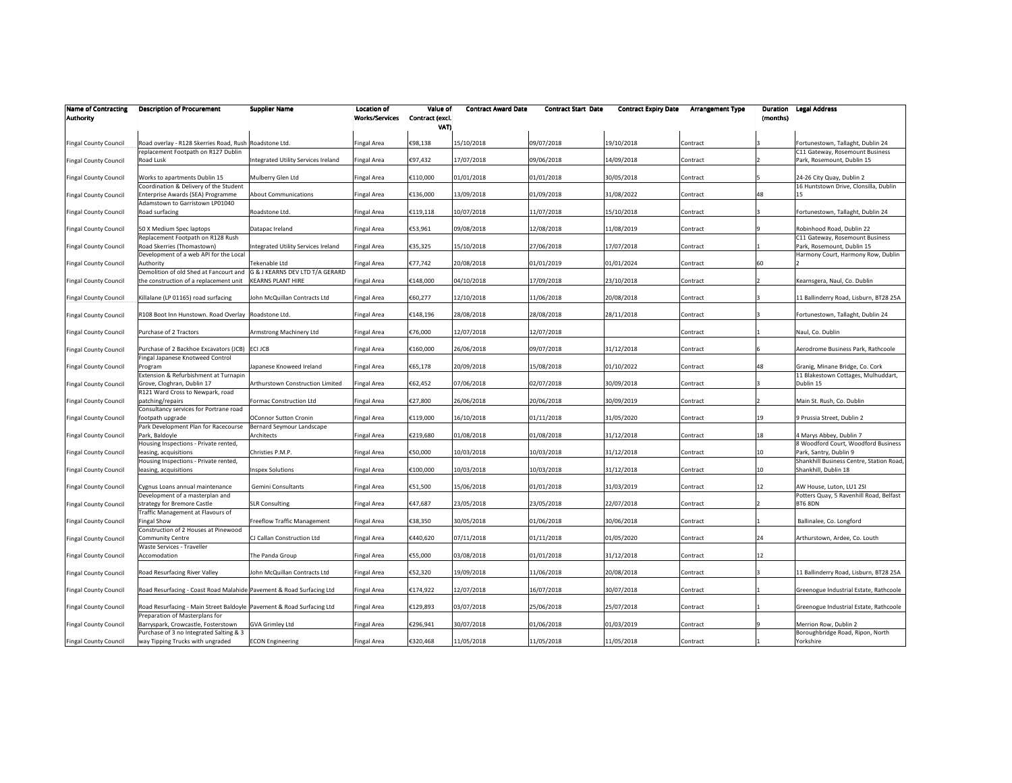| <b>Name of Contracting</b><br><b>Authority</b> | <b>Description of Procurement</b>                                                                       | <b>Supplier Name</b>                                        | <b>Location of</b><br><b>Works/Services</b> | Value of<br>Contract (excl.<br>VATI | <b>Contract Award Date</b> | <b>Contract Start Date</b> | <b>Contract Expiry Date</b> | <b>Arrangement Type</b> | (months) | <b>Duration Legal Address</b>                                          |
|------------------------------------------------|---------------------------------------------------------------------------------------------------------|-------------------------------------------------------------|---------------------------------------------|-------------------------------------|----------------------------|----------------------------|-----------------------------|-------------------------|----------|------------------------------------------------------------------------|
| <b>Fingal County Council</b>                   | Road overlay - R128 Skerries Road, Rush Roadstone Ltd.                                                  |                                                             | <b>Fingal Area</b>                          | €98,138                             | 15/10/2018                 | 09/07/2018                 | 19/10/2018                  | Contract                |          | Fortunestown, Tallaght, Dublin 24                                      |
| Fingal County Council                          | replacement Footpath on R127 Dublin<br>Road Lusk                                                        | Integrated Utility Services Ireland                         | <b>Fingal Area</b>                          | €97,432                             | 17/07/2018                 | 09/06/2018                 | 14/09/2018                  | Contract                |          | C11 Gateway, Rosemount Business<br>Park, Rosemount, Dublin 15          |
| <b>Fingal County Council</b>                   | Works to apartments Dublin 15                                                                           | Mulberry Glen Ltd                                           | Fingal Area                                 | €110,000                            | 01/01/2018                 | 01/01/2018                 | 30/05/2018                  | Contract                |          | 24-26 City Quay, Dublin 2                                              |
| <b>Fingal County Council</b>                   | Coordination & Delivery of the Student<br>Enterprise Awards (SEA) Programme                             | <b>About Communications</b>                                 | Fingal Area                                 | €136,000                            | 13/09/2018                 | 01/09/2018                 | 31/08/2022                  | Contract                | 48       | 16 Huntstown Drive, Clonsilla, Dublin<br>15                            |
| <b>Fingal County Council</b>                   | Adamstown to Garristown LP01040<br>Road surfacing                                                       | Roadstone Ltd.                                              | <b>Fingal Area</b>                          | €119,118                            | 10/07/2018                 | 11/07/2018                 | 15/10/2018                  | Contract                |          | Fortunestown, Tallaght, Dublin 24                                      |
| <b>Fingal County Council</b>                   | 50 X Medium Spec laptops                                                                                | Datapac Ireland                                             | Fingal Area                                 | €53,961                             | 09/08/2018                 | 12/08/2018                 | 11/08/2019                  | Contract                |          | Robinhood Road, Dublin 22                                              |
| <b>Fingal County Council</b>                   | Replacement Footpath on R128 Rush<br>Road Skerries (Thomastown)                                         | Integrated Utility Services Ireland                         | <b>Fingal Area</b>                          | €35,325                             | 15/10/2018                 | 27/06/2018                 | 17/07/2018                  | Contract                |          | C11 Gateway, Rosemount Business<br>Park, Rosemount, Dublin 15          |
| <b>Fingal County Council</b>                   | Development of a web API for the Local<br>Authority                                                     | Tekenable Ltd                                               | Fingal Area                                 | €77,742                             | 20/08/2018                 | 01/01/2019                 | 01/01/2024                  | Contract                | 60       | Harmony Court, Harmony Row, Dublin                                     |
| <b>Fingal County Council</b>                   | Demolition of old Shed at Fancourt and<br>the construction of a replacement unit                        | G & J KEARNS DEV LTD T/A GERARD<br><b>KEARNS PLANT HIRE</b> | Fingal Area                                 | €148,000                            | 04/10/2018                 | 17/09/2018                 | 23/10/2018                  | Contract                |          | Kearnsgera, Naul, Co. Dublin                                           |
| <b>Fingal County Council</b>                   | Killalane (LP 01165) road surfacing                                                                     | John McQuillan Contracts Ltd                                | Fingal Area                                 | €60,277                             | 12/10/2018                 | 11/06/2018                 | 20/08/2018                  | Contract                |          | 11 Ballinderry Road, Lisburn, BT28 25A                                 |
| <b>Fingal County Council</b>                   | R108 Boot Inn Hunstown. Road Overlay Roadstone Ltd.                                                     |                                                             | Fingal Area                                 | €148,196                            | 28/08/2018                 | 28/08/2018                 | 28/11/2018                  | Contract                |          | Fortunestown, Tallaght, Dublin 24                                      |
| <b>Fingal County Council</b>                   | Purchase of 2 Tractors                                                                                  | Armstrong Machinery Ltd                                     | Fingal Area                                 | €76,000                             | 12/07/2018                 | 12/07/2018                 |                             | Contract                |          | Naul, Co. Dublin                                                       |
| <b>Fingal County Council</b>                   | Purchase of 2 Backhoe Excavators (JCB) ECI JCB<br>Fingal Japanese Knotweed Control                      |                                                             | Fingal Area                                 | €160,000                            | 26/06/2018                 | 09/07/2018                 | 31/12/2018                  | Contract                |          | Aerodrome Business Park, Rathcoole                                     |
| <b>Fingal County Council</b>                   | Program<br>Extension & Refurbishment at Turnapin                                                        | Japanese Knoweed Ireland                                    | Fingal Area                                 | €65,178                             | 20/09/2018                 | 15/08/2018                 | 01/10/2022                  | Contract                | 48       | Granig, Minane Bridge, Co. Cork<br>11 Blakestown Cottages, Mulhuddart, |
| <b>Fingal County Council</b>                   | Grove, Cloghran, Dublin 17<br>R121 Ward Cross to Newpark, road                                          | Arthurstown Construction Limited                            | <b>Fingal Area</b>                          | €62,452                             | 07/06/2018                 | 02/07/2018                 | 30/09/2018                  | Contract                |          | Dublin 15                                                              |
| <b>Fingal County Council</b>                   | patching/repairs<br>Consultancy services for Portrane road                                              | Formac Construction Ltd                                     | Fingal Area                                 | €27,800                             | 26/06/2018                 | 20/06/2018                 | 30/09/2019                  | Contract                |          | Main St. Rush, Co. Dublin                                              |
| <b>Fingal County Council</b>                   | footpath upgrade<br>Park Development Plan for Racecourse                                                | OConnor Sutton Cronin<br>Bernard Seymour Landscape          | Fingal Area                                 | €119,000                            | 16/10/2018                 | 01/11/2018                 | 31/05/2020                  | Contract                | 19       | 9 Prussia Street, Dublin 2                                             |
| <b>Fingal County Council</b>                   | Park, Baldoyle<br>Housing Inspections - Private rented,                                                 | Architects                                                  | Fingal Area                                 | €219,680                            | 01/08/2018                 | 01/08/2018                 | 31/12/2018                  | Contract                | 18       | 4 Marys Abbey, Dublin 7<br>8 Woodford Court, Woodford Business         |
| <b>Fingal County Council</b>                   | leasing, acquisitions<br>Housing Inspections - Private rented,                                          | Christies P.M.P.                                            | Fingal Area                                 | €50,000                             | 10/03/2018                 | 10/03/2018                 | 31/12/2018                  | Contract                | 10       | Park, Santry, Dublin 9<br>Shankhill Business Centre, Station Road,     |
| <b>Fingal County Council</b>                   | leasing, acquisitions                                                                                   | <b>Inspex Solutions</b>                                     | Fingal Area                                 | €100,000                            | 10/03/2018                 | 10/03/2018                 | 31/12/2018                  | Contract                | 10       | Shankhill, Dublin 18                                                   |
| Fingal County Council                          | Cygnus Loans annual maintenance<br>Development of a masterplan and                                      | Gemini Consultants                                          | Fingal Area                                 | €51,500                             | 15/06/2018                 | 01/01/2018                 | 31/03/2019                  | Contract                | 12       | AW House, Luton, LU1 2SI<br>Potters Quay, 5 Ravenhill Road, Belfast    |
| <b>Fingal County Council</b>                   | strategy for Bremore Castle<br>Traffic Management at Flavours of                                        | <b>SLR Consulting</b>                                       | Fingal Area                                 | €47,687                             | 23/05/2018                 | 23/05/2018                 | 22/07/2018                  | Contract                |          | BT6 8DN                                                                |
| <b>Fingal County Council</b>                   | <b>Fingal Show</b><br>Construction of 2 Houses at Pinewood                                              | Freeflow Traffic Management                                 | <b>Fingal Area</b>                          | €38,350                             | 30/05/2018                 | 01/06/2018                 | 30/06/2018                  | Contract                |          | Ballinalee, Co. Longford                                               |
| <b>Fingal County Council</b>                   | Community Centre<br>Waste Services - Traveller                                                          | CJ Callan Construction Ltd                                  | <b>Fingal Area</b>                          | €440,620                            | 07/11/2018                 | 01/11/2018                 | 01/05/2020                  | Contract                | 24       | Arthurstown, Ardee, Co. Louth                                          |
| <b>Fingal County Council</b>                   | Accomodation                                                                                            | The Panda Group                                             | Fingal Area                                 | €55,000                             | 03/08/2018                 | 01/01/2018                 | 31/12/2018                  | Contract                | 12       |                                                                        |
| <b>Fingal County Council</b>                   | Road Resurfacing River Valley                                                                           | John McQuillan Contracts Ltd                                | <b>Fingal Area</b>                          | €52,320                             | 19/09/2018                 | 11/06/2018                 | 20/08/2018                  | Contract                |          | 11 Ballinderry Road, Lisburn, BT28 25A                                 |
| <b>Fingal County Council</b>                   | Road Resurfacing - Coast Road Malahide Pavement & Road Surfacing Ltd                                    |                                                             | <b>Fingal Area</b>                          | €174,922                            | 12/07/2018                 | 16/07/2018                 | 30/07/2018                  | Contract                |          | Greenogue Industrial Estate, Rathcoole                                 |
| <b>Fingal County Council</b>                   | Road Resurfacing - Main Street Baldoyle Pavement & Road Surfacing Ltd<br>Preparation of Masterplans for |                                                             | Fingal Area                                 | €129,893                            | 03/07/2018                 | 25/06/2018                 | 25/07/2018                  | Contract                |          | Greenogue Industrial Estate, Rathcoole                                 |
| <b>Fingal County Council</b>                   | Barryspark, Crowcastle, Fosterstown<br>Purchase of 3 no Integrated Salting & 3                          | <b>GVA Grimley Ltd</b>                                      | Fingal Area                                 | €296,941                            | 30/07/2018                 | 01/06/2018                 | 01/03/2019                  | Contract                |          | Merrion Row, Dublin 2<br>Boroughbridge Road, Ripon, North              |
| <b>Fingal County Council</b>                   | way Tipping Trucks with ungraded                                                                        | <b>ECON Engineering</b>                                     | <b>Fingal Area</b>                          | €320,468                            | 11/05/2018                 | 11/05/2018                 | 11/05/2018                  | Contract                |          | Yorkshire                                                              |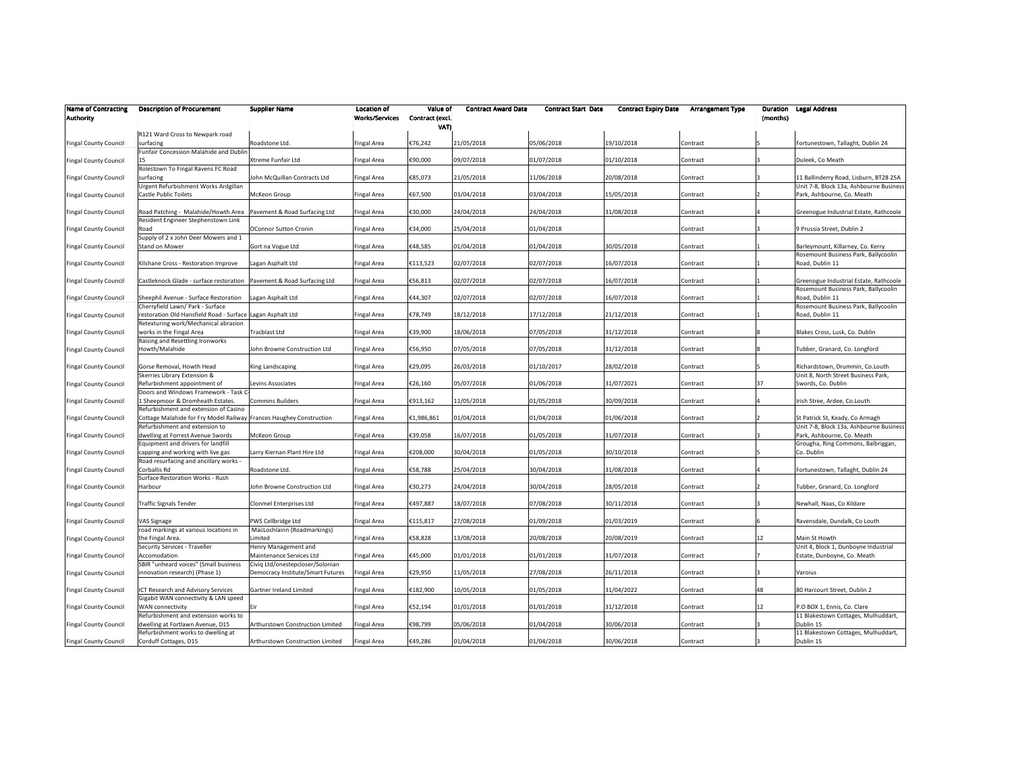| <b>Name of Contracting</b><br><b>Authority</b> | <b>Description of Procurement</b>                                                                     | <b>Supplier Name</b>                                         | <b>Location of</b><br><b>Works/Services</b> | Value of<br>Contract (excl.<br>VAT) | <b>Contract Award Date</b> | <b>Contract Start Date</b> | <b>Contract Expiry Date</b> | <b>Arrangement Type</b> | Duration<br>(months) | <b>Legal Address</b>                                                       |
|------------------------------------------------|-------------------------------------------------------------------------------------------------------|--------------------------------------------------------------|---------------------------------------------|-------------------------------------|----------------------------|----------------------------|-----------------------------|-------------------------|----------------------|----------------------------------------------------------------------------|
| <b>Fingal County Council</b>                   | R121 Ward Cross to Newpark road<br>surfacing                                                          | Roadstone Ltd.                                               | <b>Fingal Area</b>                          | €76,242                             | 21/05/2018                 | 05/06/2018                 | 19/10/2018                  | Contract                |                      | Fortunestown, Tallaght, Dublin 24                                          |
| Fingal County Council                          | Funfair Concession Malahide and Dublin<br>15                                                          | Xtreme Funfair Ltd                                           | Fingal Area                                 | €90,000                             | 09/07/2018                 | 01/07/2018                 | 01/10/2018                  | Contract                |                      | Duleek, Co Meath                                                           |
| <b>Fingal County Council</b>                   | Rolestown To Fingal Ravens FC Road<br>surfacing                                                       | John McQuillan Contracts Ltd                                 | <b>Fingal Area</b>                          | €85,073                             | 21/05/2018                 | 11/06/2018                 | 20/08/2018                  | Contract                |                      | 11 Ballinderry Road, Lisburn, BT28 25A                                     |
| Fingal County Council                          | Urgent Refurbishment Works Ardgillan<br><b>Castle Public Toilets</b>                                  | McKeon Group                                                 | Fingal Area                                 | €67,500                             | 03/04/2018                 | 03/04/2018                 | 15/05/2018                  | Contract                |                      | Unit 7-8, Block 13a, Ashbourne Business<br>Park, Ashbourne, Co. Meath      |
| <b>Fingal County Council</b>                   | Road Patching - Malahide/Howth Area                                                                   | Pavement & Road Surfacing Ltd                                | <b>Fingal Area</b>                          | €30,000                             | 24/04/2018                 | 24/04/2018                 | 31/08/2018                  | Contract                |                      | Greenogue Industrial Estate, Rathcoole                                     |
| <b>Fingal County Council</b>                   | Resident Engineer Stephenstown Link<br>Road                                                           | <b>OConnor Sutton Cronin</b>                                 | Fingal Area                                 | €34,000                             | 25/04/2018                 | 01/04/2018                 |                             | Contract                |                      | 9 Prussia Street, Dublin 2                                                 |
| <b>Fingal County Council</b>                   | Supply of 2 x John Deer Mowers and 1<br>Stand on Mower                                                | Gort na Vogue Ltd                                            | <b>Fingal Area</b>                          | €48,585                             | 01/04/2018                 | 01/04/2018                 | 30/05/2018                  | Contract                |                      | Barleymount, Killarney, Co. Kerry                                          |
| <b>Fingal County Council</b>                   | Kilshane Cross - Restoration Improve                                                                  | Lagan Asphalt Ltd                                            | <b>Fingal Area</b>                          | €113,523                            | 02/07/2018                 | 02/07/2018                 | 16/07/2018                  | Contract                |                      | Rosemount Business Park, Ballycoolin<br>Road, Dublin 11                    |
| <b>Fingal County Council</b>                   | Castleknock Glade - surface restoration   Pavement & Road Surfacing Ltd                               |                                                              | <b>Fingal Area</b>                          | €56,813                             | 02/07/2018                 | 02/07/2018                 | 16/07/2018                  | Contract                |                      | Greenogue Industrial Estate, Rathcoole                                     |
| <b>Fingal County Council</b>                   | Sheephil Avenue - Surface Restoration                                                                 | Lagan Asphalt Ltd                                            | <b>Fingal Area</b>                          | €44,307                             | 02/07/2018                 | 02/07/2018                 | 16/07/2018                  | Contract                |                      | Rosemount Business Park, Ballycoolin<br>Road, Dublin 11                    |
| <b>Fingal County Council</b>                   | Cherryfield Lawn/ Park - Surface<br>restoration Old Hansfield Road - Surface Lagan Asphalt Ltd        |                                                              | Fingal Area                                 | €78,749                             | 18/12/2018                 | 17/12/2018                 | 21/12/2018                  | Contract                |                      | Rosemount Business Park, Ballycoolin<br>Road, Dublin 11                    |
| <b>Fingal County Council</b>                   | Retexturing work/Mechanical abrasion<br>works in the Fingal Area                                      | <b>Tracblast Ltd</b>                                         | <b>Fingal Area</b>                          | €39,900                             | 18/06/2018                 | 07/05/2018                 | 31/12/2018                  | Contract                |                      | Blakes Cross, Lusk, Co. Dublin                                             |
| <b>Fingal County Council</b>                   | Raising and Resettling Ironworks<br>Howth/Malahide                                                    | John Browne Construction Ltd                                 | Fingal Area                                 | €56,950                             | 07/05/2018                 | 07/05/2018                 | 31/12/2018                  | Contract                |                      | Tubber, Granard, Co. Longford                                              |
| <b>Fingal County Council</b>                   | Gorse Removal, Howth Head<br>Skerries Library Extension &                                             | King Landscaping                                             | Fingal Area                                 | €29,095                             | 26/03/2018                 | 01/10/2017                 | 28/02/2018                  | Contract                |                      | Richardstown, Drummin, Co.Louth<br>Unit 8, North Street Business Park,     |
| <b>Fingal County Council</b>                   | Refurbishment appointment of<br>Doors and Windows Framework - Task C                                  | Levins Associates                                            | <b>Fingal Area</b>                          | €26,160                             | 05/07/2018                 | 01/06/2018                 | 31/07/2021                  | Contract                | 37                   | Swords, Co. Dublin                                                         |
| <b>Fingal County Council</b>                   | 1 Sheepmoor & Dromheath Estates.<br>Refurbishment and extension of Casino                             | <b>Commins Builders</b>                                      | Fingal Area                                 | €913,162                            | 11/05/2018                 | 01/05/2018                 | 30/09/2018                  | Contract                |                      | Irish Stree, Ardee, Co.Louth                                               |
| <b>Fingal County Council</b>                   | Cottage Malahide for Fry Model Railway Frances Haughey Construction<br>Refurbishment and extension to |                                                              | <b>Fingal Area</b>                          | €1,986,861                          | 01/04/2018                 | 01/04/2018                 | 01/06/2018                  | Contract                |                      | St Patrick St, Keady, Co Armagh<br>Unit 7-8, Block 13a, Ashbourne Business |
| <b>Fingal County Council</b>                   | dwelling at Forrest Avenue Swords<br>Equipment and drivers for landfill                               | McKeon Group                                                 | Fingal Area                                 | €39.058                             | 16/07/2018                 | 01/05/2018                 | 31/07/2018                  | Contract                |                      | Park, Ashbourne, Co. Meath<br>Grougha, Ring Commons, Balbriggan,           |
| <b>Fingal County Council</b>                   | capping and working with live gas<br>Road resurfacing and ancillary works -                           | Larry Kiernan Plant Hire Ltd                                 | <b>Fingal Area</b>                          | €208,000                            | 30/04/2018                 | 01/05/2018                 | 30/10/2018                  | Contract                |                      | Co. Dublin                                                                 |
| <b>Fingal County Council</b>                   | Corballis Rd<br>Surface Restoration Works - Rush                                                      | Roadstone Ltd.                                               | <b>Fingal Area</b>                          | €58,788                             | 25/04/2018                 | 30/04/2018                 | 31/08/2018                  | Contract                |                      | Fortunestown, Tallaght, Dublin 24                                          |
| Fingal County Council                          | Harbour                                                                                               | John Browne Construction Ltd                                 | Fingal Area                                 | €30,273                             | 24/04/2018                 | 30/04/2018                 | 28/05/2018                  | Contract                |                      | Tubber, Granard, Co. Longford                                              |
| <b>Fingal County Council</b>                   | <b>Traffic Signals Tender</b>                                                                         | Clonmel Enterprises Ltd                                      | <b>Fingal Area</b>                          | €497,887                            | 18/07/2018                 | 07/08/2018                 | 30/11/2018                  | Contract                |                      | Newhall, Naas, Co Kildare                                                  |
| <b>Fingal County Council</b>                   | VAS Signage<br>road markings at various locations in                                                  | PWS Cellbridge Ltd<br>MacLochlainn (Roadmarkings)            | <b>Fingal Area</b>                          | €115,817                            | 27/08/2018                 | 01/09/2018                 | 01/03/2019                  | Contract                |                      | Ravensdale, Dundalk, Co Louth                                              |
| <b>Fingal County Council</b>                   | the Fingal Area.<br>Security Services - Traveller                                                     | Limited<br>Henry Management and                              | <b>Fingal Area</b>                          | €58,828                             | 13/08/2018                 | 20/08/2018                 | 20/08/2019                  | Contract                | 12                   | Main St Howth<br>Unit 4, Block 1, Dunboyne Industrial                      |
| <b>Fingal County Council</b>                   | Accomodation<br>SBIR "unheard voices" (Small business                                                 | Maintenance Services Ltd<br>Civiq Ltd/onestepcloser/Solonian | <b>Fingal Area</b>                          | €45,000                             | 01/01/2018                 | 01/01/2018                 | 31/07/2018                  | Contract                |                      | Estate, Dunboyne, Co. Meath                                                |
| <b>Fingal County Council</b>                   | innovation research) (Phase 1)                                                                        | Democracy Institute/Smart Futures                            | <b>Fingal Area</b>                          | €29.950                             | 11/05/2018                 | 27/08/2018                 | 26/11/2018                  | Contract                |                      | Varoius                                                                    |
| <b>Fingal County Council</b>                   | ICT Research and Advisory Services<br>Gigabit WAN connectivity & LAN speed                            | Gartner Ireland Limited                                      | Fingal Area                                 | €182,900                            | 10/05/2018                 | 01/05/2018                 | 31/04/2022                  | Contract                | 48                   | 80 Harcourt Street, Dublin 2                                               |
| <b>Fingal County Council</b>                   | WAN connectivity<br>Refurbishment and extension works to                                              |                                                              | Fingal Area                                 | €52,194                             | 01/01/2018                 | 01/01/2018                 | 31/12/2018                  | Contract                | 12                   | P.O BOX 1, Ennis, Co. Clare<br>11 Blakestown Cottages, Mulhuddart,         |
| <b>Fingal County Council</b>                   | dwelling at Fortlawn Avenue, D15<br>Refurbishment works to dwelling at                                | Arthurstown Construction Limited                             | <b>Fingal Area</b>                          | €98,799                             | 05/06/2018                 | 01/04/2018                 | 30/06/2018                  | Contract                |                      | Dublin 15<br>11 Blakestown Cottages, Mulhuddart,                           |
| <b>Fingal County Council</b>                   | Corduff Cottages, D15                                                                                 | Arthurstown Construction Limited                             | <b>Fingal Area</b>                          | €49,286                             | 01/04/2018                 | 01/04/2018                 | 30/06/2018                  | Contract                |                      | Dublin 15                                                                  |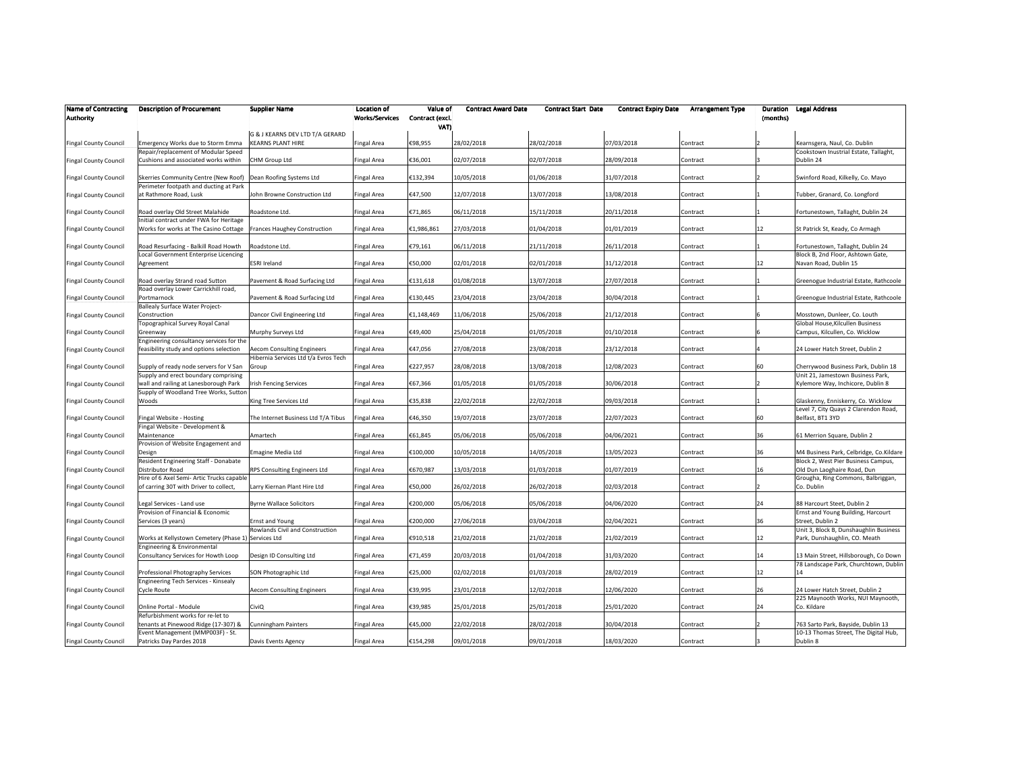| <b>Name of Contracting</b><br><b>Authority</b> | <b>Description of Procurement</b>                                                  | <b>Supplier Name</b>                                                      | <b>Location of</b><br><b>Works/Services</b> | Value of<br>Contract (excl.<br>VATI | <b>Contract Award Date</b> | <b>Contract Start Date</b> | <b>Contract Expiry Date</b> | <b>Arrangement Type</b> | Duration<br>(months) | <b>Legal Address</b>                                                           |
|------------------------------------------------|------------------------------------------------------------------------------------|---------------------------------------------------------------------------|---------------------------------------------|-------------------------------------|----------------------------|----------------------------|-----------------------------|-------------------------|----------------------|--------------------------------------------------------------------------------|
|                                                |                                                                                    | G & J KEARNS DEV LTD T/A GERARD                                           |                                             |                                     |                            |                            |                             |                         |                      |                                                                                |
| <b>Fingal County Council</b>                   | Emergency Works due to Storm Emma                                                  | <b>KEARNS PLANT HIRE</b>                                                  | <b>Fingal Area</b>                          | €98,955                             | 28/02/2018                 | 28/02/2018                 | 07/03/2018                  | Contract                |                      | Kearnsgera, Naul, Co. Dublin                                                   |
| <b>Fingal County Council</b>                   | Repair/replacement of Modular Speed<br>Cushions and associated works within        | <b>CHM Group Ltd</b>                                                      | Fingal Area                                 | €36,001                             | 02/07/2018                 | 02/07/2018                 | 28/09/2018                  | Contract                |                      | Cookstown Inustrial Estate, Tallaght,<br>Dublin 24                             |
| Fingal County Council                          | Skerries Community Centre (New Roof)<br>Perimeter footpath and ducting at Park     | Dean Roofing Systems Ltd                                                  | Fingal Area                                 | €132,394                            | 10/05/2018                 | 01/06/2018                 | 31/07/2018                  | Contract                |                      | Swinford Road, Kilkelly, Co. Mayo                                              |
| Fingal County Council                          | at Rathmore Road, Lusk                                                             | John Browne Construction Ltd                                              | Fingal Area                                 | €47,500                             | 12/07/2018                 | 13/07/2018                 | 13/08/2018                  | Contract                |                      | Tubber, Granard, Co. Longford                                                  |
| Fingal County Council                          | Road overlay Old Street Malahide<br>Initial contract under FWA for Heritage        | Roadstone Ltd.                                                            | <b>Fingal Area</b>                          | €71,865                             | 06/11/2018                 | 15/11/2018                 | 20/11/2018                  | Contract                |                      | Fortunestown, Tallaght, Dublin 24                                              |
| <b>Fingal County Council</b>                   | Works for works at The Casino Cottage                                              | <b>Frances Haughey Construction</b>                                       | <b>Fingal Area</b>                          | €1,986,861                          | 27/03/2018                 | 01/04/2018                 | 01/01/2019                  | Contract                | 12                   | St Patrick St, Keady, Co Armagh                                                |
| Fingal County Council                          | Road Resurfacing - Balkill Road Howth<br>Local Government Enterprise Licencing     | Roadstone Ltd.                                                            | <b>Fingal Area</b>                          | €79,161                             | 06/11/2018                 | 21/11/2018                 | 26/11/2018                  | Contract                |                      | Fortunestown, Tallaght, Dublin 24<br>Block B, 2nd Floor, Ashtown Gate,         |
| Fingal County Council                          | Agreement                                                                          | <b>ESRI Ireland</b>                                                       | <b>Fingal Area</b>                          | €50,000                             | 02/01/2018                 | 02/01/2018                 | 31/12/2018                  | Contract                | 12                   | Navan Road, Dublin 15                                                          |
| <b>Fingal County Council</b>                   | Road overlay Strand road Sutton<br>Road overlay Lower Carrickhill road,            | Pavement & Road Surfacing Ltd                                             | <b>Fingal Area</b>                          | €131,618                            | 01/08/2018                 | 13/07/2018                 | 27/07/2018                  | Contract                |                      | Greenogue Industrial Estate, Rathcoole                                         |
| <b>Fingal County Council</b>                   | Portmarnock<br>Ballealy Surface Water Project-                                     | Pavement & Road Surfacing Ltd                                             | <b>Fingal Area</b>                          | €130,445                            | 23/04/2018                 | 23/04/2018                 | 30/04/2018                  | Contract                |                      | Greenogue Industrial Estate, Rathcoole                                         |
| <b>Fingal County Council</b>                   | Construction<br>Topographical Survey Royal Canal                                   | Dancor Civil Engineering Ltd                                              | <b>Fingal Area</b>                          | €1,148,469                          | 11/06/2018                 | 25/06/2018                 | 21/12/2018                  | Contract                |                      | Mosstown, Dunleer, Co. Louth<br>Global House, Kilcullen Business               |
| <b>Fingal County Council</b>                   | Greenway<br>Engineering consultancy services for the                               | Murphy Surveys Ltd                                                        | <b>Fingal Area</b>                          | €49,400                             | 25/04/2018                 | 01/05/2018                 | 01/10/2018                  | Contract                |                      | Campus, Kilcullen, Co. Wicklow                                                 |
| <b>Fingal County Council</b>                   | feasibility study and options selection                                            | <b>Aecom Consulting Engineers</b><br>Hibernia Services Ltd t/a Evros Tech | Fingal Area                                 | €47,056                             | 27/08/2018                 | 23/08/2018                 | 23/12/2018                  | Contract                |                      | 24 Lower Hatch Street, Dublin 2                                                |
| <b>Fingal County Council</b>                   | Supply of ready node servers for V San<br>Supply and erect boundary comprising     | Group                                                                     | <b>Fingal Area</b>                          | €227,957                            | 28/08/2018                 | 13/08/2018                 | 12/08/2023                  | Contract                | 60                   | Cherrywood Business Park, Dublin 18<br>Unit 21, Jamestown Business Park,       |
| <b>Fingal County Council</b>                   | wall and railing at Lanesborough Park<br>Supply of Woodland Tree Works, Sutton     | <b>Irish Fencing Services</b>                                             | <b>Fingal Area</b>                          | €67,366                             | 01/05/2018                 | 01/05/2018                 | 30/06/2018                  | Contract                |                      | Kylemore Way, Inchicore, Dublin 8                                              |
| <b>Fingal County Council</b>                   | Woods                                                                              | King Tree Services Ltd                                                    | Fingal Area                                 | €35,838                             | 22/02/2018                 | 22/02/2018                 | 09/03/2018                  | Contract                |                      | Glaskenny, Enniskerry, Co. Wicklow<br>Level 7, City Quays 2 Clarendon Road,    |
| <b>Fingal County Council</b>                   | Fingal Website - Hosting<br>Fingal Website - Development &                         | The Internet Business Ltd T/A Tibus                                       | <b>Fingal Area</b>                          | €46,350                             | 19/07/2018                 | 23/07/2018                 | 22/07/2023                  | Contract                | 60                   | Belfast, BT1 3YD                                                               |
| <b>Fingal County Council</b>                   | Maintenance<br>Provision of Website Engagement and                                 | Amartech                                                                  | Fingal Area                                 | €61,845                             | 05/06/2018                 | 05/06/2018                 | 04/06/2021                  | Contract                | 36                   | 61 Merrion Square, Dublin 2                                                    |
| Fingal County Council                          | Design<br>Resident Engineering Staff - Donabate                                    | Emagine Media Ltd                                                         | <b>Fingal Area</b>                          | €100,000                            | 10/05/2018                 | 14/05/2018                 | 13/05/2023                  | Contract                | 36                   | M4 Business Park, Celbridge, Co.Kildare<br>Block 2, West Pier Business Campus, |
| <b>Fingal County Council</b>                   | Distributor Road<br>Hire of 6 Axel Semi- Artic Trucks capable                      | RPS Consulting Engineers Ltd                                              | <b>Fingal Area</b>                          | €670,987                            | 13/03/2018                 | 01/03/2018                 | 01/07/2019                  | Contract                | 16                   | Old Dun Laoghaire Road, Dun<br>Grougha, Ring Commons, Balbriggan,              |
| Fingal County Council                          | of carring 30T with Driver to collect,                                             | Larry Kiernan Plant Hire Ltd                                              | <b>Fingal Area</b>                          | €50,000                             | 26/02/2018                 | 26/02/2018                 | 02/03/2018                  | Contract                |                      | Co. Dublin                                                                     |
| <b>Fingal County Council</b>                   | Legal Services - Land use<br>Provision of Financial & Economic                     | <b>Byrne Wallace Solicitors</b>                                           | <b>Fingal Area</b>                          | €200,000                            | 05/06/2018                 | 05/06/2018                 | 04/06/2020                  | Contract                | 24                   | 88 Harcourt Steet, Dublin 2<br>Ernst and Young Building, Harcourt              |
| <b>Fingal County Council</b>                   | Services (3 years)                                                                 | <b>Ernst and Young</b><br>Rowlands Civil and Construction                 | <b>Fingal Area</b>                          | €200,000                            | 27/06/2018                 | 03/04/2018                 | 02/04/2021                  | Contract                | 36                   | Street, Dublin 2<br>Unit 3, Block B, Dunshaughlin Business                     |
| <b>Fingal County Council</b>                   | Works at Kellystown Cemetery (Phase 1) Services Ltd<br>Engineering & Environmental |                                                                           | <b>Fingal Area</b>                          | €910,518                            | 21/02/2018                 | 21/02/2018                 | 21/02/2019                  | Contract                | 12                   | Park, Dunshaughlin, CO. Meath                                                  |
| <b>Fingal County Council</b>                   | Consultancy Services for Howth Loop                                                | Design ID Consulting Ltd                                                  | <b>Fingal Area</b>                          | €71,459                             | 20/03/2018                 | 01/04/2018                 | 31/03/2020                  | Contract                | 14                   | 13 Main Street, Hillsborough, Co Down<br>78 Landscape Park, Churchtown, Dublin |
| <b>Fingal County Council</b>                   | Professional Photography Services<br>Engineering Tech Services - Kinsealy          | SON Photographic Ltd                                                      | <b>Fingal Area</b>                          | €25,000                             | 02/02/2018                 | 01/03/2018                 | 28/02/2019                  | Contract                | 12                   | 14                                                                             |
| <b>Fingal County Council</b>                   | Cycle Route                                                                        | <b>Aecom Consulting Engineers</b>                                         | Fingal Area                                 | €39,995                             | 23/01/2018                 | 12/02/2018                 | 12/06/2020                  | Contract                | 26                   | 24 Lower Hatch Street, Dublin 2<br>225 Maynooth Works, NUI Maynooth,           |
| Fingal County Council                          | Online Portal - Module                                                             | CiviQ                                                                     | Fingal Area                                 | €39,985                             | 25/01/2018                 | 25/01/2018                 | 25/01/2020                  | Contract                | 24                   | Co. Kildare                                                                    |
| <b>Fingal County Council</b>                   | Refurbishment works for re-let to<br>tenants at Pinewood Ridge (17-307) &          | <b>Cunningham Painters</b>                                                | <b>Fingal Area</b>                          | €45,000                             | 22/02/2018                 | 28/02/2018                 | 30/04/2018                  | Contract                |                      | 763 Sarto Park, Bayside, Dublin 13                                             |
| <b>Fingal County Council</b>                   | Event Management (MMP003F) - St.<br>Patricks Day Pardes 2018                       | Davis Events Agency                                                       | <b>Fingal Area</b>                          | €154,298                            | 09/01/2018                 | 09/01/2018                 | 18/03/2020                  | Contract                |                      | 10-13 Thomas Street, The Digital Hub,<br>Dublin 8                              |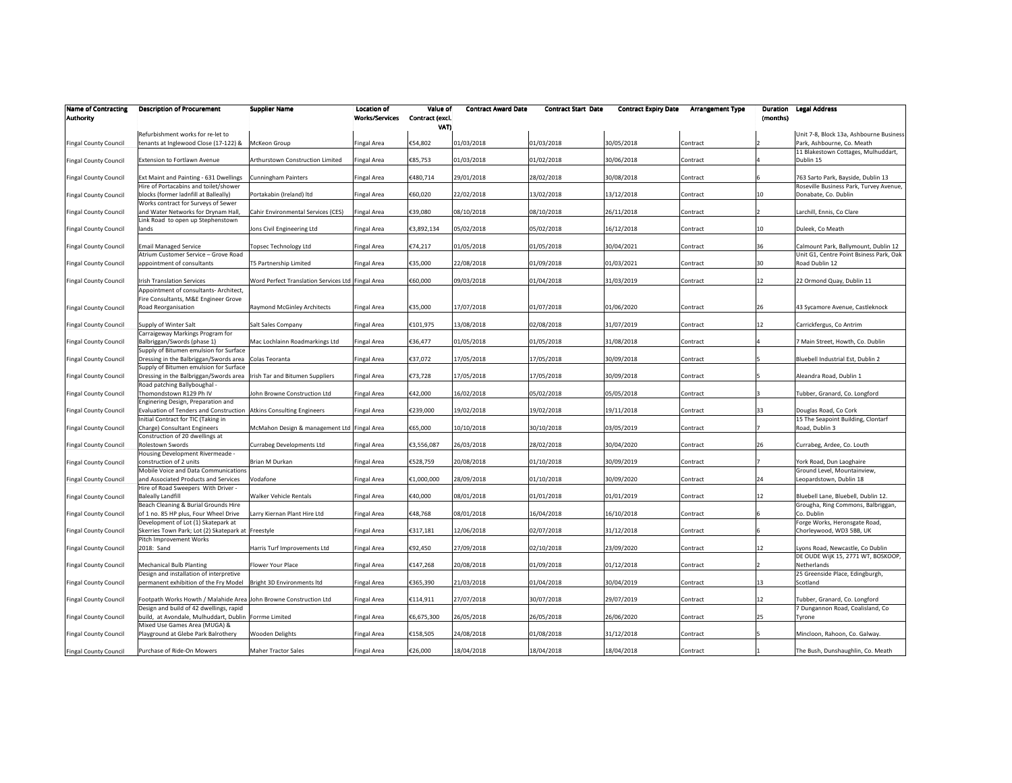| <b>Name of Contracting</b><br><b>Authority</b> | <b>Description of Procurement</b>                                                                                                                 | <b>Supplier Name</b>                              | <b>Location of</b><br><b>Works/Services</b> | Value of<br>Contract (excl.<br>VATI | <b>Contract Award Date</b> | <b>Contract Start Date</b> | <b>Contract Expiry Date</b> | <b>Arrangement Type</b> | Duration<br>(months) | <b>Legal Address</b>                                                            |
|------------------------------------------------|---------------------------------------------------------------------------------------------------------------------------------------------------|---------------------------------------------------|---------------------------------------------|-------------------------------------|----------------------------|----------------------------|-----------------------------|-------------------------|----------------------|---------------------------------------------------------------------------------|
| <b>Fingal County Council</b>                   | Refurbishment works for re-let to<br>tenants at Inglewood Close (17-122) &                                                                        | McKeon Group                                      | <b>Fingal Area</b>                          | €54,802                             | 01/03/2018                 | 01/03/2018                 | 30/05/2018                  | Contract                |                      | Unit 7-8, Block 13a, Ashbourne Business<br>Park, Ashbourne, Co. Meath           |
| <b>Fingal County Council</b>                   | Extension to Fortlawn Avenue                                                                                                                      | Arthurstown Construction Limited                  | <b>Fingal Area</b>                          | €85,753                             | 01/03/2018                 | 01/02/2018                 | 30/06/2018                  | Contract                |                      | 11 Blakestown Cottages, Mulhuddart,<br>Dublin 15                                |
| Fingal County Council                          | Ext Maint and Painting - 631 Dwellings                                                                                                            | Cunningham Painters                               | Fingal Area                                 | €480,714                            | 29/01/2018                 | 28/02/2018                 | 30/08/2018                  | Contract                |                      | 763 Sarto Park, Bayside, Dublin 13                                              |
| Fingal County Council                          | Hire of Portacabins and toilet/shower<br>blocks (former ladnfill at Balleally)                                                                    | Portakabin (Ireland) Itd                          | <b>Fingal Area</b>                          | €60,020                             | 22/02/2018                 | 13/02/2018                 | 13/12/2018                  | Contract                | 10                   | Roseville Business Park, Turvey Avenue,<br>Donabate, Co. Dublin                 |
| <b>Fingal County Council</b>                   | Works contract for Surveys of Sewer<br>and Water Networks for Drynam Hall,                                                                        | Cahir Environmental Services (CES)                | <b>Fingal Area</b>                          | €39,080                             | 08/10/2018                 | 08/10/2018                 | 26/11/2018                  | Contract                |                      | Larchill, Ennis, Co Clare                                                       |
| <b>Fingal County Council</b>                   | Link Road to open up Stephenstown<br>lands                                                                                                        | Jons Civil Engineering Ltd                        | <b>Fingal Area</b>                          | €3,892,134                          | 05/02/2018                 | 05/02/2018                 | 16/12/2018                  | Contract                | 10                   | Duleek, Co Meath                                                                |
| <b>Fingal County Council</b>                   | <b>Email Managed Service</b><br>Atrium Customer Service - Grove Road                                                                              | Topsec Technology Ltd                             | <b>Fingal Area</b>                          | €74,217                             | 01/05/2018                 | 01/05/2018                 | 30/04/2021                  | Contract                | 36                   | Calmount Park, Ballymount, Dublin 12<br>Unit G1, Centre Point Bsiness Park, Oak |
| Fingal County Council                          | appointment of consultants                                                                                                                        | T5 Partnership Limited                            | Fingal Area                                 | €35,000                             | 22/08/2018                 | 01/09/2018                 | 01/03/2021                  | Contract                | 30                   | Road Dublin 12                                                                  |
| <b>Fingal County Council</b>                   | <b>Irish Translation Services</b><br>Appointment of consultants- Architect,                                                                       | Word Perfect Translation Services Ltd Fingal Area |                                             | €60,000                             | 09/03/2018                 | 01/04/2018                 | 31/03/2019                  | Contract                | 12                   | 22 Ormond Quay, Dublin 11                                                       |
| <b>Fingal County Council</b>                   | Fire Consultants, M&E Engineer Grove<br>Road Reorganisation                                                                                       | Raymond McGinley Architects                       | <b>Fingal Area</b>                          | €35,000                             | 17/07/2018                 | 01/07/2018                 | 01/06/2020                  | Contract                | 26                   | 43 Sycamore Avenue, Castleknock                                                 |
| <b>Fingal County Council</b>                   | Supply of Winter Salt                                                                                                                             | Salt Sales Company                                | <b>Fingal Area</b>                          | €101,975                            | 13/08/2018                 | 02/08/2018                 | 31/07/2019                  | Contract                | 12                   | Carrickfergus, Co Antrim                                                        |
| <b>Fingal County Council</b>                   | Carraigeway Markings Program for<br>Balbriggan/Swords (phase 1)                                                                                   | Mac Lochlainn Roadmarkings Ltd                    | Fingal Area                                 | €36,477                             | 01/05/2018                 | 01/05/2018                 | 31/08/2018                  | Contract                |                      | 7 Main Street, Howth, Co. Dublin                                                |
| Fingal County Council                          | Supply of Bitumen emulsion for Surface<br>Dressing in the Balbriggan/Swords area                                                                  | Colas Teoranta                                    | <b>Fingal Area</b>                          | €37,072                             | 17/05/2018                 | 17/05/2018                 | 30/09/2018                  | Contract                |                      | Bluebell Industrial Est, Dublin 2                                               |
| Fingal County Council                          | Supply of Bitumen emulsion for Surface<br>Dressing in the Balbriggan/Swords area                                                                  | Irish Tar and Bitumen Suppliers                   | <b>Fingal Area</b>                          | €73,728                             | 17/05/2018                 | 17/05/2018                 | 30/09/2018                  | Contract                |                      | Aleandra Road, Dublin 1                                                         |
| <b>Fingal County Council</b>                   | Road patching Ballyboughal -<br>Thomondstown R129 Ph IV                                                                                           | John Browne Construction Ltd                      | Fingal Area                                 | €42,000                             | 16/02/2018                 | 05/02/2018                 | 05/05/2018                  | Contract                |                      | Tubber, Granard, Co. Longford                                                   |
| <b>Fingal County Council</b>                   | Enginering Design, Preparation and<br>Evaluation of Tenders and Construction   Atkins Consulting Engineers<br>Initial Contract for TIC (Taking in |                                                   | <b>Fingal Area</b>                          | €239,000                            | 19/02/2018                 | 19/02/2018                 | 19/11/2018                  | Contract                | 33                   | Douglas Road, Co Cork<br>15 The Seapoint Building, Clontarf                     |
| <b>Fingal County Council</b>                   | Charge) Consultant Engineers<br>Construction of 20 dwellings at                                                                                   | McMahon Design & management Ltd Fingal Area       |                                             | €65,000                             | 10/10/2018                 | 30/10/2018                 | 03/05/2019                  | Contract                |                      | Road, Dublin 3                                                                  |
| Fingal County Council                          | Rolestown Swords<br>Housing Development Rivermeade -                                                                                              | Currabeg Developments Ltd                         | Fingal Area                                 | €3,556,087                          | 26/03/2018                 | 28/02/2018                 | 30/04/2020                  | Contract                | 26                   | Currabeg, Ardee, Co. Louth                                                      |
| <b>Fingal County Council</b>                   | construction of 2 units<br>Mobile Voice and Data Communications                                                                                   | Brian M Durkan                                    | <b>Fingal Area</b>                          | €528,759                            | 20/08/2018                 | 01/10/2018                 | 30/09/2019                  | Contract                |                      | York Road, Dun Laoghaire<br>Ground Level, Mountainview,                         |
| <b>Fingal County Council</b>                   | and Associated Products and Services<br>Hire of Road Sweepers With Driver -                                                                       | Vodafone                                          | <b>Fingal Area</b>                          | €1,000,000                          | 28/09/2018                 | 01/10/2018                 | 30/09/2020                  | Contract                | 24                   | Leopardstown, Dublin 18                                                         |
| <b>Fingal County Council</b>                   | <b>Baleally Landfill</b><br>Beach Cleaning & Burial Grounds Hire                                                                                  | <b>Walker Vehicle Rentals</b>                     | Fingal Area                                 | €40,000                             | 08/01/2018                 | 01/01/2018                 | 01/01/2019                  | Contract                | 12                   | Bluebell Lane, Bluebell, Dublin 12.<br>Grougha, Ring Commons, Balbriggan,       |
| <b>Fingal County Council</b>                   | of 1 no. 85 HP plus, Four Wheel Drive<br>Development of Lot (1) Skatepark at                                                                      | Larry Kiernan Plant Hire Ltd                      | <b>Fingal Area</b>                          | €48,768                             | 08/01/2018                 | 16/04/2018                 | 16/10/2018                  | Contract                |                      | Co. Dublin<br>Forge Works, Heronsgate Road,                                     |
| <b>Fingal County Council</b>                   | Skerries Town Park; Lot (2) Skatepark at Freestyle<br>Pitch Improvement Works                                                                     |                                                   | <b>Fingal Area</b>                          | €317,181                            | 12/06/2018                 | 02/07/2018                 | 31/12/2018                  | Contract                |                      | Chorleywood, WD3 5BB, UK                                                        |
| <b>Fingal County Council</b>                   | 2018: Sand                                                                                                                                        | Harris Turf Improvements Ltd                      | <b>Fingal Area</b>                          | €92,450                             | 27/09/2018                 | 02/10/2018                 | 23/09/2020                  | Contract                | 12                   | Lyons Road, Newcastle, Co Dublin<br>DE OUDE WIJK 15, 2771 WT, BOSKOOP,          |
| <b>Fingal County Council</b>                   | <b>Mechanical Bulb Planting</b><br>Design and installation of interpretive                                                                        | Flower Your Place                                 | Fingal Area                                 | €147,268                            | 20/08/2018                 | 01/09/2018                 | 01/12/2018                  | Contract                |                      | Netherlands<br>25 Greenside Place, Edingburgh,                                  |
| Fingal County Council                          | permanent exhibition of the Fry Model                                                                                                             | Bright 3D Environments Itd                        | Fingal Area                                 | €365,390                            | 21/03/2018                 | 01/04/2018                 | 30/04/2019                  | Contract                | 13                   | Scotland                                                                        |
| <b>Fingal County Council</b>                   | Footpath Works Howth / Malahide Area John Browne Construction Ltd<br>Design and build of 42 dwellings, rapid                                      |                                                   | <b>Fingal Area</b>                          | €114,911                            | 27/07/2018                 | 30/07/2018                 | 29/07/2019                  | Contract                | 12                   | Tubber, Granard, Co. Longford<br>7 Dungannon Road, Coalisland, Co               |
| <b>Fingal County Council</b>                   | build, at Avondale, Mulhuddart, Dublin Forrme Limited<br>Mixed Use Games Area (MUGA) &                                                            |                                                   | <b>Fingal Area</b>                          | €6,675,300                          | 26/05/2018                 | 26/05/2018                 | 26/06/2020                  | Contract                | 25                   | Tyrone                                                                          |
| <b>Fingal County Council</b>                   | Playground at Glebe Park Balrothery                                                                                                               | Wooden Delights                                   | Fingal Area                                 | €158,505                            | 24/08/2018                 | 01/08/2018                 | 31/12/2018                  | Contract                |                      | Mincloon, Rahoon, Co. Galway.                                                   |
| <b>Fingal County Council</b>                   | Purchase of Ride-On Mowers                                                                                                                        | <b>Maher Tractor Sales</b>                        | <b>Fingal Area</b>                          | €26,000                             | 18/04/2018                 | 18/04/2018                 | 18/04/2018                  | Contract                |                      | The Bush, Dunshaughlin, Co. Meath                                               |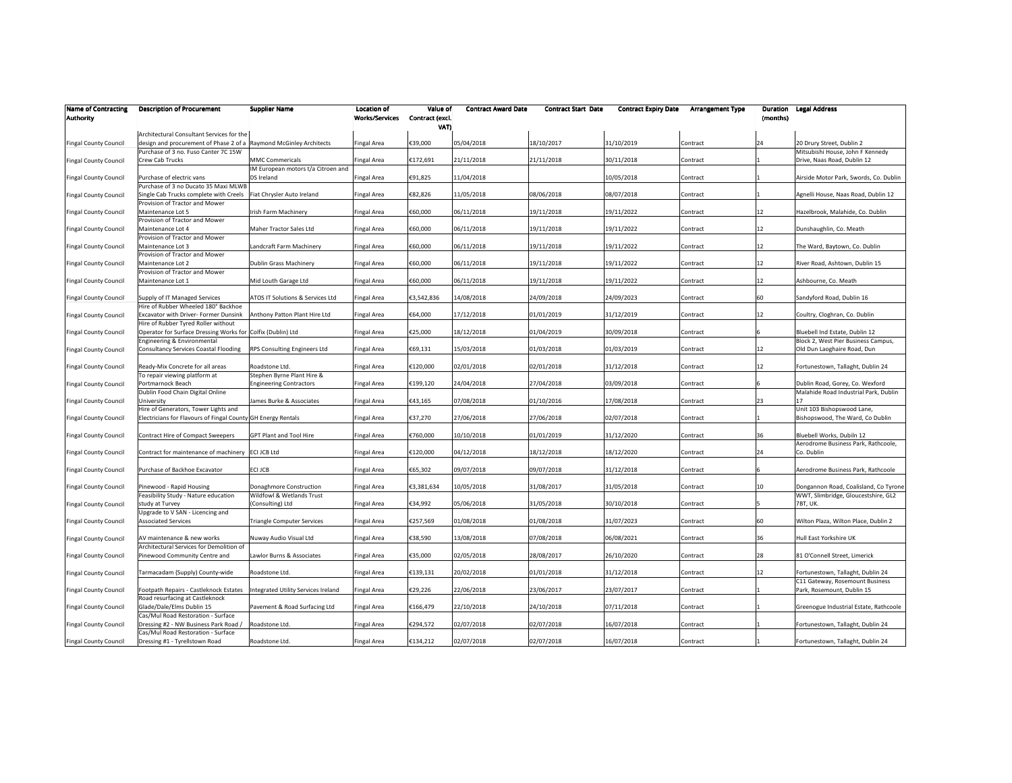| <b>Name of Contracting</b><br><b>Authority</b> | <b>Description of Procurement</b>                                  | <b>Supplier Name</b>                | <b>Location of</b><br><b>Works/Services</b> | Value of<br>Contract (excl.<br>VAT) | <b>Contract Award Date</b> | <b>Contract Start Date</b> | <b>Contract Expiry Date</b> | <b>Arrangement Type</b> | (months) | <b>Duration Legal Address</b>          |
|------------------------------------------------|--------------------------------------------------------------------|-------------------------------------|---------------------------------------------|-------------------------------------|----------------------------|----------------------------|-----------------------------|-------------------------|----------|----------------------------------------|
|                                                | Architectural Consultant Services for the                          |                                     |                                             |                                     |                            |                            |                             |                         |          |                                        |
| <b>Fingal County Council</b>                   | design and procurement of Phase 2 of a Raymond McGinley Architects |                                     | ingal Area                                  | €39,000                             | 05/04/2018                 | 18/10/2017                 | 31/10/2019                  | Contract                | 24       | 20 Drury Street, Dublin 2              |
|                                                | Purchase of 3 no. Fuso Canter 7C 15W                               |                                     |                                             |                                     |                            |                            |                             |                         |          | Mitsubishi House, John F Kennedy       |
| <b>Fingal County Council</b>                   | Crew Cab Trucks                                                    | <b>MMC Commericals</b>              | ingal Area                                  | €172,691                            | 21/11/2018                 | 21/11/2018                 | 30/11/2018                  | Contract                |          | Drive, Naas Road, Dublin 12            |
|                                                |                                                                    | IM European motors t/a Citroen and  |                                             |                                     |                            |                            |                             |                         |          |                                        |
| <b>Fingal County Council</b>                   | Purchase of electric vans                                          | DS Ireland                          | Fingal Area                                 | €91,825                             | 11/04/2018                 |                            | 10/05/2018                  | Contract                |          | Airside Motor Park, Swords, Co. Dublin |
|                                                | Purchase of 3 no Ducato 35 Maxi MLWB                               |                                     |                                             |                                     |                            |                            |                             |                         |          |                                        |
| <b>Fingal County Council</b>                   | Single Cab Trucks complete with Creels Fiat Chrysler Auto Ireland  |                                     | ingal Area                                  | €82,826                             | 11/05/2018                 | 08/06/2018                 | 08/07/2018                  | Contract                |          | Agnelli House, Naas Road, Dublin 12    |
|                                                | Provision of Tractor and Mower                                     |                                     |                                             |                                     |                            |                            |                             |                         |          |                                        |
| <b>Fingal County Council</b>                   | Maintenance Lot 5                                                  | Irish Farm Machinery                | ingal Area                                  | €60,000                             | 06/11/2018                 | 19/11/2018                 | 19/11/2022                  | Contract                | 12       | Hazelbrook, Malahide, Co. Dublin       |
|                                                | Provision of Tractor and Mower                                     |                                     |                                             |                                     |                            |                            |                             |                         |          |                                        |
| <b>Fingal County Council</b>                   | Maintenance Lot 4                                                  | Maher Tractor Sales Ltd             | ingal Area                                  | €60,000                             | 06/11/2018                 | 19/11/2018                 | 19/11/2022                  | Contract                | 12       | Dunshaughlin, Co. Meath                |
|                                                | Provision of Tractor and Mower                                     |                                     |                                             |                                     |                            |                            |                             |                         |          |                                        |
| <b>Fingal County Council</b>                   | Maintenance Lot 3                                                  | Landcraft Farm Machinery            | Fingal Area                                 | €60,000                             | 06/11/2018                 | 19/11/2018                 | 19/11/2022                  | Contract                | 12       | The Ward, Baytown, Co. Dublin          |
|                                                | Provision of Tractor and Mower                                     |                                     |                                             |                                     |                            |                            |                             |                         |          |                                        |
| <b>Fingal County Council</b>                   | Maintenance Lot 2                                                  | Dublin Grass Machinery              | ingal Area                                  | €60,000                             | 06/11/2018                 | 19/11/2018                 | 19/11/2022                  | Contract                | 12       | River Road, Ashtown, Dublin 15         |
|                                                | Provision of Tractor and Mower                                     |                                     |                                             |                                     |                            |                            |                             |                         |          |                                        |
| <b>Fingal County Council</b>                   | Maintenance Lot 1                                                  | Mid Louth Garage Ltd                | Fingal Area                                 | €60,000                             | 06/11/2018                 | 19/11/2018                 | 19/11/2022                  | Contract                | 12       | Ashbourne, Co. Meath                   |
|                                                |                                                                    |                                     |                                             |                                     |                            |                            |                             |                         |          |                                        |
| <b>Fingal County Council</b>                   | Supply of IT Managed Services                                      | ATOS IT Solutions & Services Ltd    | Fingal Area                                 | €3,542,836                          | 14/08/2018                 | 24/09/2018                 | 24/09/2023                  | Contract                | 60       | Sandyford Road, Dublin 16              |
|                                                | Hire of Rubber Wheeled 180° Backhoe                                |                                     |                                             |                                     |                            |                            |                             |                         |          |                                        |
|                                                |                                                                    |                                     |                                             |                                     |                            |                            |                             |                         |          |                                        |
| <b>Fingal County Council</b>                   | xcavator with Driver- Former Dunsink                               | Anthony Patton Plant Hire Ltd       | ingal Area                                  | €64,000                             | 17/12/2018                 | 01/01/2019                 | 31/12/2019                  | Contract                | 12       | Coultry, Cloghran, Co. Dublin          |
|                                                | Hire of Rubber Tyred Roller without                                |                                     |                                             |                                     |                            |                            |                             |                         |          |                                        |
| <b>Fingal County Council</b>                   | Operator for Surface Dressing Works for Colfix (Dublin) Ltd        |                                     | ingal Area                                  | €25,000                             | 18/12/2018                 | 01/04/2019                 | 30/09/2018                  | Contract                |          | Bluebell Ind Estate, Dublin 12         |
|                                                | ingineering & Environmental                                        |                                     |                                             |                                     |                            |                            |                             |                         |          | Block 2, West Pier Business Campus,    |
| <b>Fingal County Council</b>                   | Consultancy Services Coastal Flooding                              | <b>RPS Consulting Engineers Ltd</b> | Fingal Area                                 | €69,131                             | 15/03/2018                 | 01/03/2018                 | 01/03/2019                  | Contract                | 12       | Old Dun Laoghaire Road, Dun            |
|                                                |                                                                    |                                     |                                             |                                     |                            |                            |                             |                         |          |                                        |
| <b>Fingal County Council</b>                   | Ready-Mix Concrete for all areas                                   | Roadstone Ltd.                      | ingal Area                                  | €120,000                            | 02/01/2018                 | 02/01/2018                 | 31/12/2018                  | Contract                | 12       | Fortunestown, Tallaght, Dublin 24      |
|                                                | To repair viewing platform at                                      | Stephen Byrne Plant Hire &          |                                             |                                     |                            |                            |                             |                         |          |                                        |
| <b>Fingal County Council</b>                   | Portmarnock Beach                                                  | <b>Engineering Contractors</b>      | ingal Area                                  | €199,120                            | 24/04/2018                 | 27/04/2018                 | 03/09/2018                  | Contract                |          | Dublin Road, Gorey, Co. Wexford        |
|                                                | Dublin Food Chain Digital Online                                   |                                     |                                             |                                     |                            |                            |                             |                         |          | Malahide Road Industrial Park, Dublin  |
| <b>Fingal County Council</b>                   | Jniversity                                                         | James Burke & Associates            | ingal Area                                  | €43,165                             | 07/08/2018                 | 01/10/2016                 | 17/08/2018                  | Contract                | 23       |                                        |
|                                                | Hire of Generators, Tower Lights and                               |                                     |                                             |                                     |                            |                            |                             |                         |          | Unit 103 Bishopswood Lane,             |
| <b>Fingal County Council</b>                   | Electricians for Flavours of Fingal County GH Energy Rentals       |                                     | ingal Area                                  | €37,270                             | 27/06/2018                 | 27/06/2018                 | 02/07/2018                  | Contract                |          | Bishopswood, The Ward, Co Dublin       |
|                                                |                                                                    |                                     |                                             |                                     |                            |                            |                             |                         |          |                                        |
|                                                |                                                                    | <b>GPT Plant and Tool Hire</b>      |                                             | €760,000                            | 10/10/2018                 | 01/01/2019                 | 31/12/2020                  |                         | 36       |                                        |
| <b>Fingal County Council</b>                   | Contract Hire of Compact Sweepers                                  |                                     | ingal Area                                  |                                     |                            |                            |                             | Contract                |          | Bluebell Works, Dubiln 12              |
|                                                |                                                                    |                                     |                                             |                                     |                            |                            |                             |                         |          | Aerodrome Business Park, Rathcoole,    |
| <b>Fingal County Council</b>                   | Contract for maintenance of machinery ECI JCB Ltd                  |                                     | ingal Area                                  | €120,000                            | 04/12/2018                 | 18/12/2018                 | 18/12/2020                  | Contract                | 24       | Co. Dublin                             |
|                                                |                                                                    |                                     |                                             |                                     |                            |                            |                             |                         |          |                                        |
| <b>Fingal County Council</b>                   | Purchase of Backhoe Excavator                                      | ECI JCB                             | Fingal Area                                 | €65,302                             | 09/07/2018                 | 09/07/2018                 | 31/12/2018                  | Contract                |          | Aerodrome Business Park, Rathcoole     |
|                                                |                                                                    |                                     |                                             |                                     |                            |                            |                             |                         |          |                                        |
| <b>Fingal County Council</b>                   | inewood - Rapid Housing                                            | Donaghmore Construction             | Fingal Area                                 | €3,381,634                          | 10/05/2018                 | 31/08/2017                 | 31/05/2018                  | Contract                | 10       | Dongannon Road, Coalisland, Co Tyrone  |
|                                                | Feasibility Study - Nature education                               | Wildfowl & Wetlands Trust           |                                             |                                     |                            |                            |                             |                         |          | WWT, Slimbridge, Gloucestshire, GL2    |
| <b>Fingal County Council</b>                   | study at Turvey                                                    | (Consulting) Ltd                    | ingal Area                                  | €34,992                             | 05/06/2018                 | 31/05/2018                 | 30/10/2018                  | Contract                |          | 7BT, UK.                               |
|                                                | Upgrade to V SAN - Licencing and                                   |                                     |                                             |                                     |                            |                            |                             |                         |          |                                        |
| <b>Fingal County Council</b>                   | <b>Associated Services</b>                                         | Triangle Computer Services          | Fingal Area                                 | €257,569                            | 01/08/2018                 | 01/08/2018                 | 31/07/2023                  | Contract                | 60       | Wilton Plaza, Wilton Place, Dublin 2   |
|                                                |                                                                    |                                     |                                             |                                     |                            |                            |                             |                         |          |                                        |
| <b>Fingal County Council</b>                   | AV maintenance & new works                                         | Nuway Audio Visual Ltd              | Fingal Area                                 | €38,590                             | 13/08/2018                 | 07/08/2018                 | 06/08/2021                  | Contract                | 36       | Hull East Yorkshire UK                 |
|                                                | Architectural Services for Demolition of                           |                                     |                                             |                                     |                            |                            |                             |                         |          |                                        |
| <b>Fingal County Council</b>                   | inewood Community Centre and                                       | Lawlor Burns & Associates           | ingal Area                                  | €35,000                             | 02/05/2018                 | 28/08/2017                 | 26/10/2020                  | Contract                | 28       | 81 O'Connell Street, Limerick          |
|                                                |                                                                    |                                     |                                             |                                     |                            |                            |                             |                         |          |                                        |
|                                                |                                                                    |                                     |                                             |                                     |                            |                            |                             |                         |          |                                        |
| <b>Fingal County Council</b>                   | Tarmacadam (Supply) County-wide                                    | Roadstone Ltd.                      | ingal Area                                  | €139,131                            | 20/02/2018                 | 01/01/2018                 | 31/12/2018                  | Contract                | 12       | Fortunestown, Tallaght, Dublin 24      |
|                                                |                                                                    |                                     |                                             |                                     |                            |                            |                             |                         |          | C11 Gateway, Rosemount Business        |
| <b>Fingal County Council</b>                   | Footpath Repairs - Castleknock Estates                             | Integrated Utility Services Ireland | ingal Area                                  | €29,226                             | 22/06/2018                 | 23/06/2017                 | 23/07/2017                  | Contract                |          | Park, Rosemount, Dublin 15             |
|                                                | Road resurfacing at Castleknock                                    |                                     |                                             |                                     |                            |                            |                             |                         |          |                                        |
| <b>Fingal County Council</b>                   | Glade/Dale/Elms Dublin 15                                          | Pavement & Road Surfacing Ltd       | ingal Area                                  | €166,479                            | 22/10/2018                 | 24/10/2018                 | 07/11/2018                  | Contract                |          | Greenogue Industrial Estate, Rathcoole |
|                                                | Cas/Mul Road Restoration - Surface                                 |                                     |                                             |                                     |                            |                            |                             |                         |          |                                        |
| <b>Fingal County Council</b>                   | Dressing #2 - NW Business Park Road /                              | Roadstone Ltd.                      | ingal Area                                  | €294,572                            | 02/07/2018                 | 02/07/2018                 | 16/07/2018                  | Contract                |          | Fortunestown, Tallaght, Dublin 24      |
|                                                | Cas/Mul Road Restoration - Surface                                 |                                     |                                             |                                     |                            |                            |                             |                         |          |                                        |
| <b>Fingal County Council</b>                   | Dressing #1 - Tyrellstown Road                                     | Roadstone Ltd.                      | Fingal Area                                 | €134,212                            | 02/07/2018                 | 02/07/2018                 | 16/07/2018                  | Contract                |          | Fortunestown, Tallaght, Dublin 24      |
|                                                |                                                                    |                                     |                                             |                                     |                            |                            |                             |                         |          |                                        |